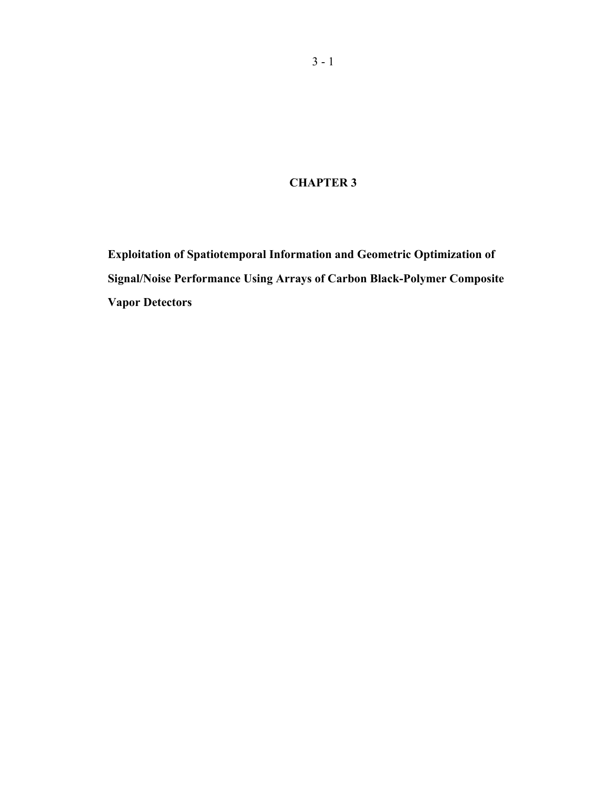### **CHAPTER 3**

**Exploitation of Spatiotemporal Information and Geometric Optimization of Signal/Noise Performance Using Arrays of Carbon Black-Polymer Composite Vapor Detectors**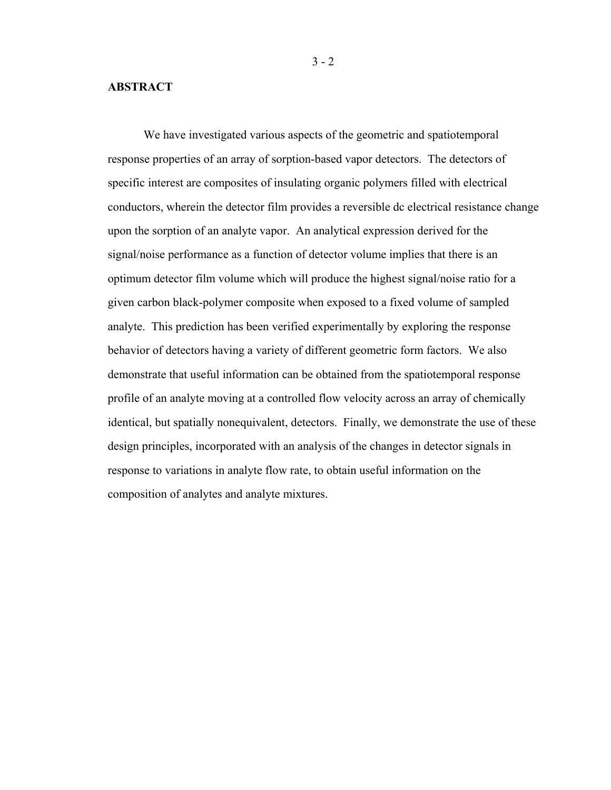#### **ABSTRACT**

We have investigated various aspects of the geometric and spatiotemporal response properties of an array of sorption-based vapor detectors. The detectors of specific interest are composites of insulating organic polymers filled with electrical conductors, wherein the detector film provides a reversible dc electrical resistance change upon the sorption of an analyte vapor. An analytical expression derived for the signal/noise performance as a function of detector volume implies that there is an optimum detector film volume which will produce the highest signal/noise ratio for a given carbon black-polymer composite when exposed to a fixed volume of sampled analyte. This prediction has been verified experimentally by exploring the response behavior of detectors having a variety of different geometric form factors. We also demonstrate that useful information can be obtained from the spatiotemporal response profile of an analyte moving at a controlled flow velocity across an array of chemically identical, but spatially nonequivalent, detectors. Finally, we demonstrate the use of these design principles, incorporated with an analysis of the changes in detector signals in response to variations in analyte flow rate, to obtain useful information on the composition of analytes and analyte mixtures.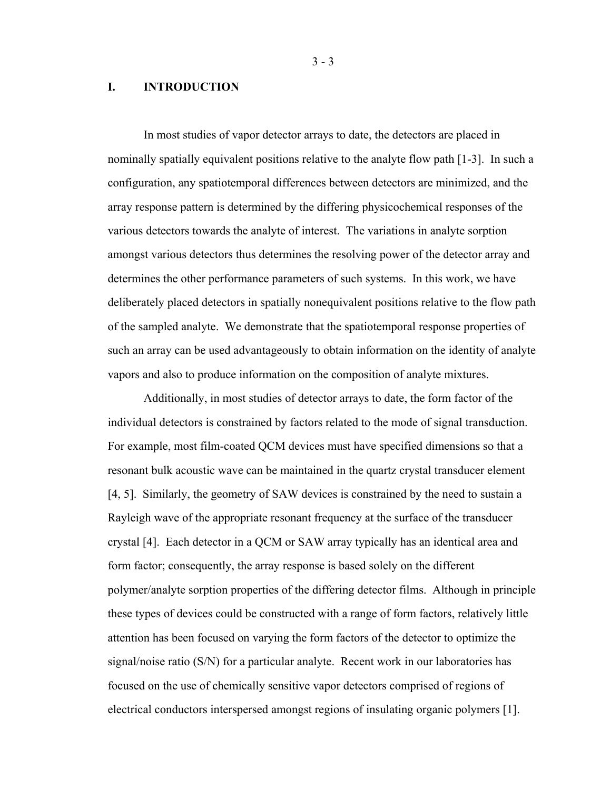$3 - 3$ 

#### **I. INTRODUCTION**

In most studies of vapor detector arrays to date, the detectors are placed in nominally spatially equivalent positions relative to the analyte flow path [1-3]. In such a configuration, any spatiotemporal differences between detectors are minimized, and the array response pattern is determined by the differing physicochemical responses of the various detectors towards the analyte of interest. The variations in analyte sorption amongst various detectors thus determines the resolving power of the detector array and determines the other performance parameters of such systems. In this work, we have deliberately placed detectors in spatially nonequivalent positions relative to the flow path of the sampled analyte. We demonstrate that the spatiotemporal response properties of such an array can be used advantageously to obtain information on the identity of analyte vapors and also to produce information on the composition of analyte mixtures.

Additionally, in most studies of detector arrays to date, the form factor of the individual detectors is constrained by factors related to the mode of signal transduction. For example, most film-coated QCM devices must have specified dimensions so that a resonant bulk acoustic wave can be maintained in the quartz crystal transducer element [4, 5]. Similarly, the geometry of SAW devices is constrained by the need to sustain a Rayleigh wave of the appropriate resonant frequency at the surface of the transducer crystal [4]. Each detector in a QCM or SAW array typically has an identical area and form factor; consequently, the array response is based solely on the different polymer/analyte sorption properties of the differing detector films. Although in principle these types of devices could be constructed with a range of form factors, relatively little attention has been focused on varying the form factors of the detector to optimize the signal/noise ratio (S/N) for a particular analyte. Recent work in our laboratories has focused on the use of chemically sensitive vapor detectors comprised of regions of electrical conductors interspersed amongst regions of insulating organic polymers [1].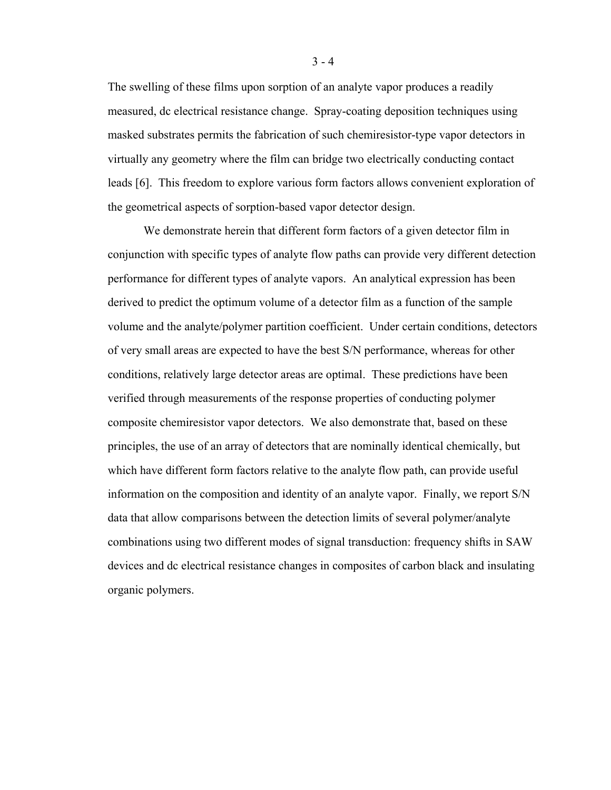The swelling of these films upon sorption of an analyte vapor produces a readily measured, dc electrical resistance change. Spray-coating deposition techniques using masked substrates permits the fabrication of such chemiresistor-type vapor detectors in virtually any geometry where the film can bridge two electrically conducting contact leads [6]. This freedom to explore various form factors allows convenient exploration of the geometrical aspects of sorption-based vapor detector design.

We demonstrate herein that different form factors of a given detector film in conjunction with specific types of analyte flow paths can provide very different detection performance for different types of analyte vapors. An analytical expression has been derived to predict the optimum volume of a detector film as a function of the sample volume and the analyte/polymer partition coefficient. Under certain conditions, detectors of very small areas are expected to have the best S/N performance, whereas for other conditions, relatively large detector areas are optimal. These predictions have been verified through measurements of the response properties of conducting polymer composite chemiresistor vapor detectors. We also demonstrate that, based on these principles, the use of an array of detectors that are nominally identical chemically, but which have different form factors relative to the analyte flow path, can provide useful information on the composition and identity of an analyte vapor. Finally, we report S/N data that allow comparisons between the detection limits of several polymer/analyte combinations using two different modes of signal transduction: frequency shifts in SAW devices and dc electrical resistance changes in composites of carbon black and insulating organic polymers.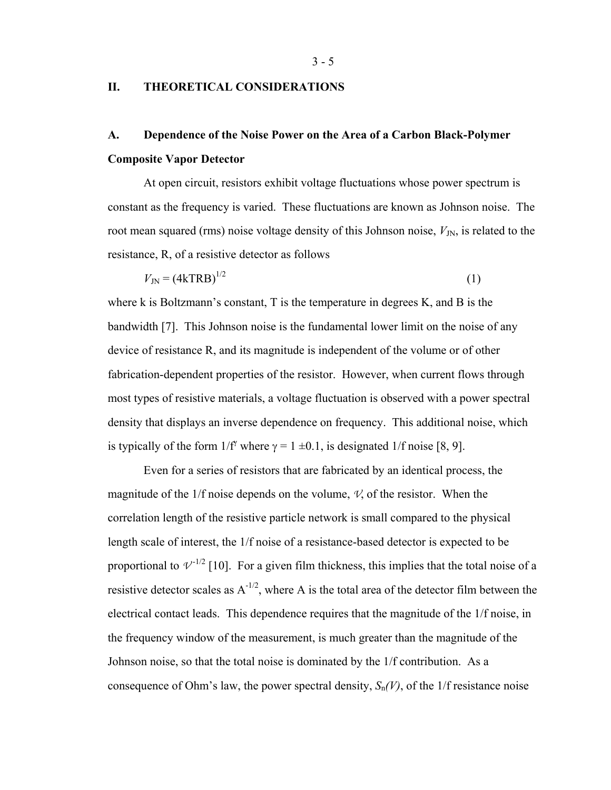### $3 - 5$

#### **II. THEORETICAL CONSIDERATIONS**

# **A. Dependence of the Noise Power on the Area of a Carbon Black-Polymer Composite Vapor Detector**

At open circuit, resistors exhibit voltage fluctuations whose power spectrum is constant as the frequency is varied. These fluctuations are known as Johnson noise. The root mean squared (rms) noise voltage density of this Johnson noise,  $V_{\text{JN}}$ , is related to the resistance, R, of a resistive detector as follows

$$
V_{\rm JN} = (4kTRB)^{1/2} \tag{1}
$$

where k is Boltzmann's constant, T is the temperature in degrees K, and B is the bandwidth [7]. This Johnson noise is the fundamental lower limit on the noise of any device of resistance R, and its magnitude is independent of the volume or of other fabrication-dependent properties of the resistor. However, when current flows through most types of resistive materials, a voltage fluctuation is observed with a power spectral density that displays an inverse dependence on frequency. This additional noise, which is typically of the form  $1/f'$  where  $\gamma = 1 \pm 0.1$ , is designated  $1/f$  noise [8, 9].

Even for a series of resistors that are fabricated by an identical process, the magnitude of the  $1/f$  noise depends on the volume,  $\mathcal{V}$ , of the resistor. When the correlation length of the resistive particle network is small compared to the physical length scale of interest, the 1/f noise of a resistance-based detector is expected to be proportional to  $\mathcal{V}^{1/2}$  [10]. For a given film thickness, this implies that the total noise of a resistive detector scales as  $A^{-1/2}$ , where A is the total area of the detector film between the electrical contact leads. This dependence requires that the magnitude of the 1/f noise, in the frequency window of the measurement, is much greater than the magnitude of the Johnson noise, so that the total noise is dominated by the 1/f contribution. As a consequence of Ohm's law, the power spectral density,  $S_n(V)$ , of the 1/f resistance noise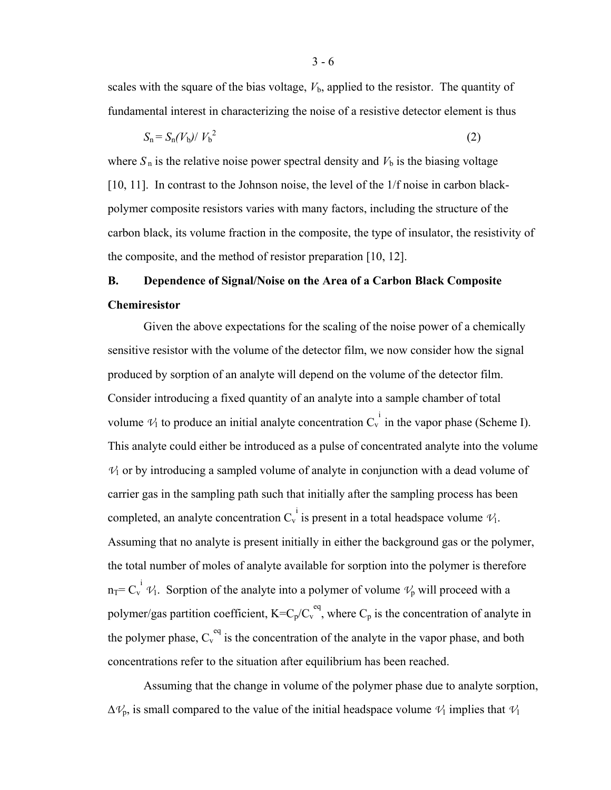scales with the square of the bias voltage,  $V<sub>b</sub>$ , applied to the resistor. The quantity of fundamental interest in characterizing the noise of a resistive detector element is thus

$$
S_{\rm n} = S_{\rm n}(V_{\rm b})/|V_{\rm b}|^2 \tag{2}
$$

where  $S_n$  is the relative noise power spectral density and  $V_b$  is the biasing voltage [10, 11]. In contrast to the Johnson noise, the level of the 1/f noise in carbon blackpolymer composite resistors varies with many factors, including the structure of the carbon black, its volume fraction in the composite, the type of insulator, the resistivity of the composite, and the method of resistor preparation [10, 12].

# **B. Dependence of Signal/Noise on the Area of a Carbon Black Composite Chemiresistor**

Given the above expectations for the scaling of the noise power of a chemically sensitive resistor with the volume of the detector film, we now consider how the signal produced by sorption of an analyte will depend on the volume of the detector film. Consider introducing a fixed quantity of an analyte into a sample chamber of total volume  $V_1$  to produce an initial analyte concentration  $C_v^i$  in the vapor phase (Scheme I). This analyte could either be introduced as a pulse of concentrated analyte into the volume  $V_1$  or by introducing a sampled volume of analyte in conjunction with a dead volume of carrier gas in the sampling path such that initially after the sampling process has been completed, an analyte concentration  $C_v^i$  is present in a total headspace volume  $V_1$ . Assuming that no analyte is present initially in either the background gas or the polymer, the total number of moles of analyte available for sorption into the polymer is therefore  $n_T = C_v^i$   $V_1$ . Sorption of the analyte into a polymer of volume  $V_p$  will proceed with a polymer/gas partition coefficient,  $K = C_p/C_v^{eq}$ , where  $C_p$  is the concentration of analyte in the polymer phase,  $C_v^{eq}$  is the concentration of the analyte in the vapor phase, and both concentrations refer to the situation after equilibrium has been reached.

Assuming that the change in volume of the polymer phase due to analyte sorption,  $\Delta V_p$ , is small compared to the value of the initial headspace volume  $V_1$  implies that  $V_1$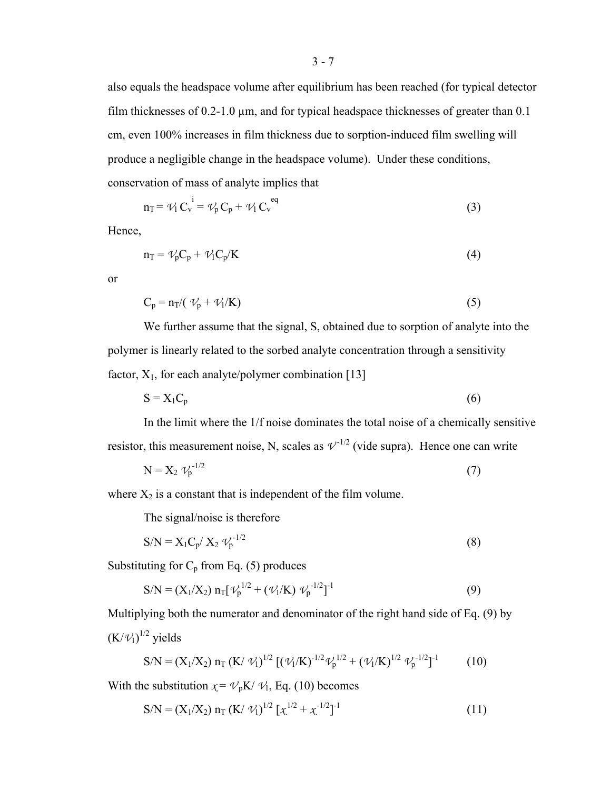also equals the headspace volume after equilibrium has been reached (for typical detector film thicknesses of  $0.2$ -1.0  $\mu$ m, and for typical headspace thicknesses of greater than 0.1 cm, even 100% increases in film thickness due to sorption-induced film swelling will produce a negligible change in the headspace volume). Under these conditions, conservation of mass of analyte implies that

$$
n_T = \mathcal{V}_1 C_v^i = \mathcal{V}_p C_p + \mathcal{V}_1 C_v^{eq}
$$
 (3)

Hence,

$$
n_T = \psi_p C_p + \psi_1 C_p / K \tag{4}
$$

or

$$
C_p = n_T / (\nu_p + \nu_l / K) \tag{5}
$$

We further assume that the signal, S, obtained due to sorption of analyte into the polymer is linearly related to the sorbed analyte concentration through a sensitivity factor,  $X_1$ , for each analyte/polymer combination [13]

$$
S = X_1 C_p \tag{6}
$$

In the limit where the 1/f noise dominates the total noise of a chemically sensitive resistor, this measurement noise, N, scales as  $\mathcal{V}^{-1/2}$  (vide supra). Hence one can write

$$
N = X_2 \, \mathcal{V}_p^{-1/2} \tag{7}
$$

where  $X_2$  is a constant that is independent of the film volume.

The signal/noise is therefore

$$
S/N = X_1 C_p / X_2 \, \nu_p^{-1/2} \tag{8}
$$

Substituting for  $C_p$  from Eq. (5) produces

$$
S/N = (X_1/X_2) n_T [\psi_1^{1/2} + (\psi_1/K) \psi_1^{-1/2}]^{-1}
$$
\n(9)

Multiplying both the numerator and denominator of the right hand side of Eq. (9) by  $(K/\nu_1)^{1/2}$  yields

$$
S/N = (X_1/X_2) n_T (K/\nu_1)^{1/2} [(\nu_1/K)^{-1/2} \nu_p^{1/2} + (\nu_1/K)^{1/2} \nu_p^{-1/2}]^{-1}
$$
 (10)

With the substitution  $\chi = \frac{\nu_p K}{\nu_1}$ , Eq. (10) becomes

$$
S/N = (X_1/X_2) n_T (K/\nu_1)^{1/2} [\chi^{1/2} + \chi^{-1/2}]^{-1}
$$
 (11)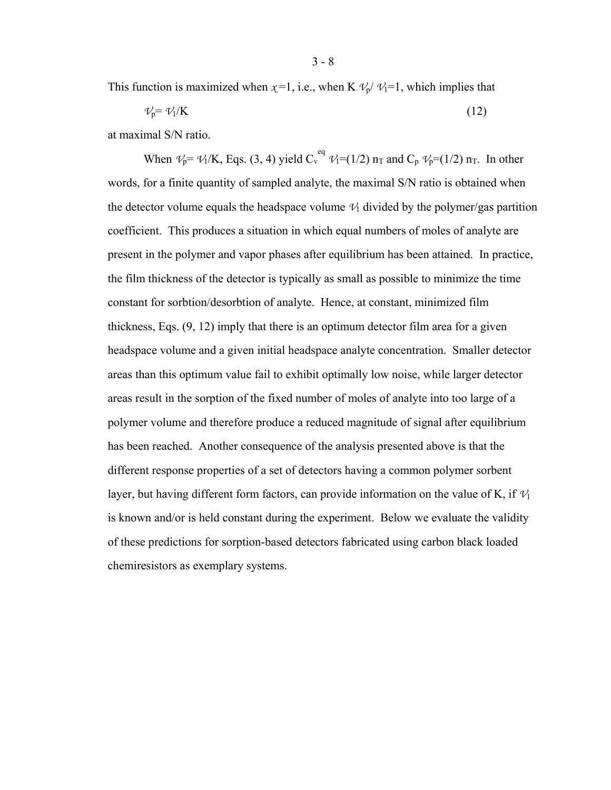This function is maximized when  $\chi$ =1, i.e., when K  $\mathcal{V}_p/\mathcal{V}_1=1$ , which implies that

$$
\varphi_{p} = \varphi_{1}/K \tag{12}
$$

at maximal S/N ratio.

When  $\mathcal{V}_p = \mathcal{V}_1/K$ , Eqs. (3, 4) yield  $C_v^{eq}$   $\mathcal{V}_1 = (1/2) n_T$  and  $C_p$   $\mathcal{V}_p = (1/2) n_T$ . In other words, for a finite quantity of sampled analyte, the maximal S/N ratio is obtained when the detector volume equals the headspace volume  $V_1$  divided by the polymer/gas partition coefficient. This produces a situation in which equal numbers of moles of analyte are present in the polymer and vapor phases after equilibrium has been attained. In practice, the film thickness of the detector is typically as small as possible to minimize the time constant for sorbtion/desorbtion of analyte. Hence, at constant, minimized film thickness, Eqs. (9, 12) imply that there is an optimum detector film area for a given headspace volume and a given initial headspace analyte concentration. Smaller detector areas than this optimum value fail to exhibit optimally low noise, while larger detector areas result in the sorption of the fixed number of moles of analyte into too large of a polymer volume and therefore produce a reduced magnitude of signal after equilibrium has been reached. Another consequence of the analysis presented above is that the different response properties of a set of detectors having a common polymer sorbent layer, but having different form factors, can provide information on the value of K, if  $V_1$ is known and/or is held constant during the experiment. Below we evaluate the validity of these predictions for sorption-based detectors fabricated using carbon black loaded chemiresistors as exemplary systems.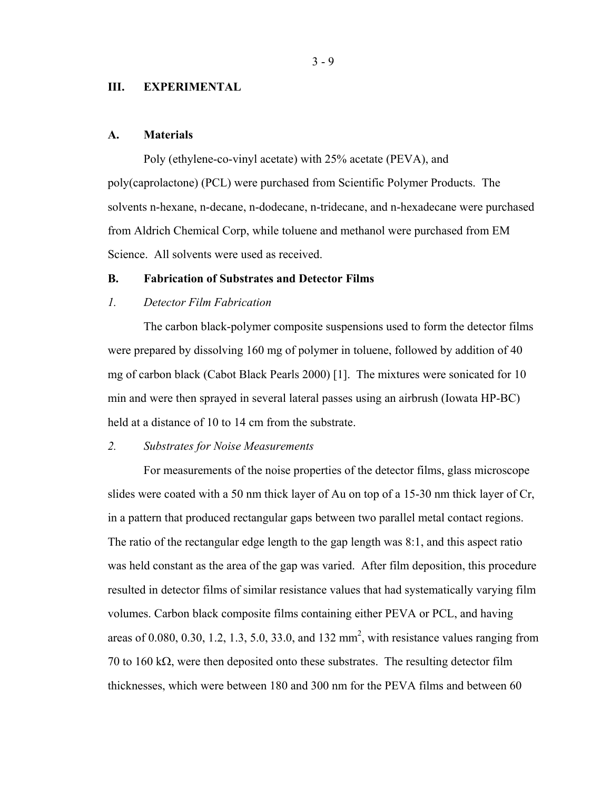#### **III. EXPERIMENTAL**

#### **A. Materials**

Poly (ethylene-co-vinyl acetate) with 25% acetate (PEVA), and poly(caprolactone) (PCL) were purchased from Scientific Polymer Products. The solvents n-hexane, n-decane, n-dodecane, n-tridecane, and n-hexadecane were purchased from Aldrich Chemical Corp, while toluene and methanol were purchased from EM Science. All solvents were used as received.

#### **B. Fabrication of Substrates and Detector Films**

### *1. Detector Film Fabrication*

The carbon black-polymer composite suspensions used to form the detector films were prepared by dissolving 160 mg of polymer in toluene, followed by addition of 40 mg of carbon black (Cabot Black Pearls 2000) [1]. The mixtures were sonicated for 10 min and were then sprayed in several lateral passes using an airbrush (Iowata HP-BC) held at a distance of 10 to 14 cm from the substrate.

### *2. Substrates for Noise Measurements*

For measurements of the noise properties of the detector films, glass microscope slides were coated with a 50 nm thick layer of Au on top of a 15-30 nm thick layer of Cr, in a pattern that produced rectangular gaps between two parallel metal contact regions. The ratio of the rectangular edge length to the gap length was 8:1, and this aspect ratio was held constant as the area of the gap was varied. After film deposition, this procedure resulted in detector films of similar resistance values that had systematically varying film volumes. Carbon black composite films containing either PEVA or PCL, and having areas of 0.080, 0.30, 1.2, 1.3, 5.0, 33.0, and 132 mm<sup>2</sup>, with resistance values ranging from 70 to 160 kΩ, were then deposited onto these substrates. The resulting detector film thicknesses, which were between 180 and 300 nm for the PEVA films and between 60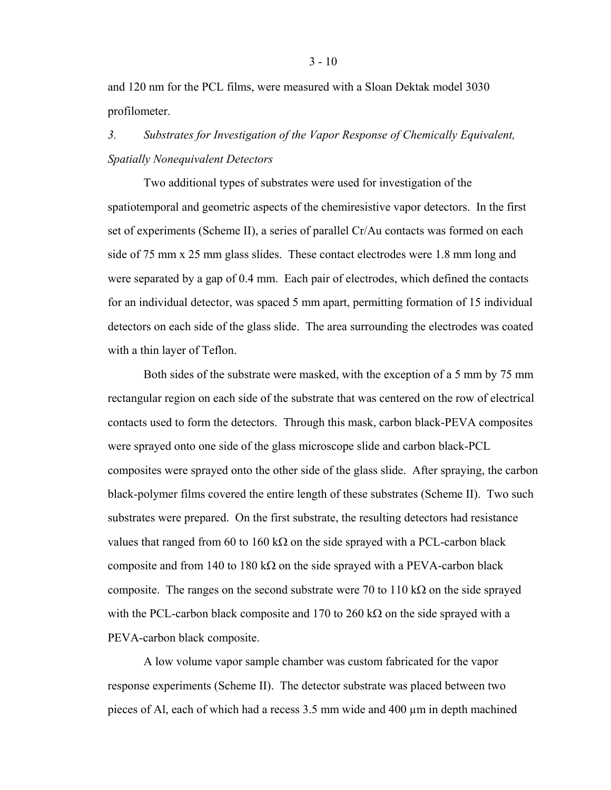and 120 nm for the PCL films, were measured with a Sloan Dektak model 3030 profilometer.

*3. Substrates for Investigation of the Vapor Response of Chemically Equivalent, Spatially Nonequivalent Detectors* 

Two additional types of substrates were used for investigation of the spatiotemporal and geometric aspects of the chemiresistive vapor detectors. In the first set of experiments (Scheme II), a series of parallel Cr/Au contacts was formed on each side of 75 mm x 25 mm glass slides. These contact electrodes were 1.8 mm long and were separated by a gap of 0.4 mm. Each pair of electrodes, which defined the contacts for an individual detector, was spaced 5 mm apart, permitting formation of 15 individual detectors on each side of the glass slide. The area surrounding the electrodes was coated with a thin layer of Teflon.

Both sides of the substrate were masked, with the exception of a 5 mm by 75 mm rectangular region on each side of the substrate that was centered on the row of electrical contacts used to form the detectors. Through this mask, carbon black-PEVA composites were sprayed onto one side of the glass microscope slide and carbon black-PCL composites were sprayed onto the other side of the glass slide. After spraying, the carbon black-polymer films covered the entire length of these substrates (Scheme II). Two such substrates were prepared. On the first substrate, the resulting detectors had resistance values that ranged from 60 to 160 kΩ on the side sprayed with a PCL-carbon black composite and from 140 to 180 k $\Omega$  on the side sprayed with a PEVA-carbon black composite. The ranges on the second substrate were 70 to 110 k $\Omega$  on the side sprayed with the PCL-carbon black composite and 170 to 260 k $\Omega$  on the side sprayed with a PEVA-carbon black composite.

A low volume vapor sample chamber was custom fabricated for the vapor response experiments (Scheme II). The detector substrate was placed between two pieces of Al, each of which had a recess 3.5 mm wide and 400 µm in depth machined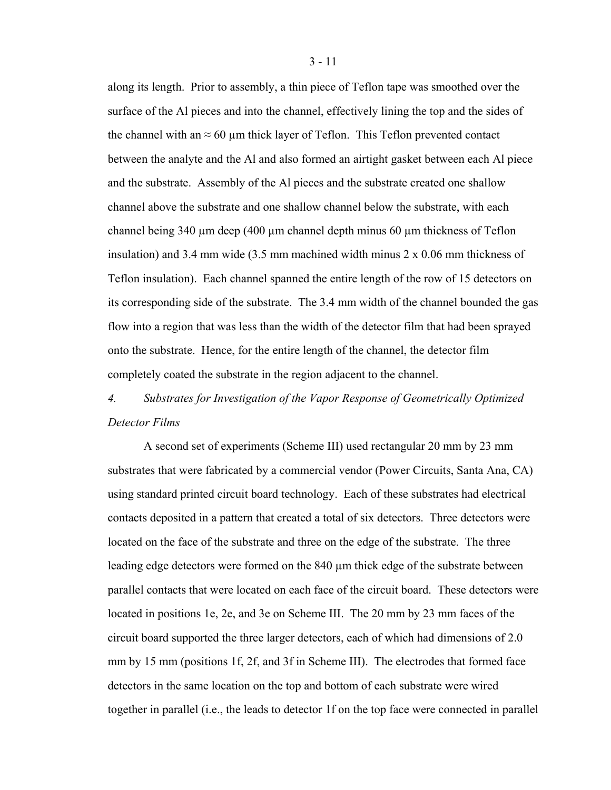along its length. Prior to assembly, a thin piece of Teflon tape was smoothed over the surface of the Al pieces and into the channel, effectively lining the top and the sides of the channel with an  $\approx 60$  µm thick layer of Teflon. This Teflon prevented contact between the analyte and the Al and also formed an airtight gasket between each Al piece and the substrate. Assembly of the Al pieces and the substrate created one shallow channel above the substrate and one shallow channel below the substrate, with each channel being  $340 \mu m$  deep (400  $\mu m$  channel depth minus 60  $\mu m$  thickness of Teflon insulation) and 3.4 mm wide (3.5 mm machined width minus 2 x 0.06 mm thickness of Teflon insulation). Each channel spanned the entire length of the row of 15 detectors on its corresponding side of the substrate. The 3.4 mm width of the channel bounded the gas flow into a region that was less than the width of the detector film that had been sprayed onto the substrate. Hence, for the entire length of the channel, the detector film completely coated the substrate in the region adjacent to the channel.

# *4. Substrates for Investigation of the Vapor Response of Geometrically Optimized Detector Films*

A second set of experiments (Scheme III) used rectangular 20 mm by 23 mm substrates that were fabricated by a commercial vendor (Power Circuits, Santa Ana, CA) using standard printed circuit board technology. Each of these substrates had electrical contacts deposited in a pattern that created a total of six detectors. Three detectors were located on the face of the substrate and three on the edge of the substrate. The three leading edge detectors were formed on the 840 µm thick edge of the substrate between parallel contacts that were located on each face of the circuit board. These detectors were located in positions 1e, 2e, and 3e on Scheme III. The 20 mm by 23 mm faces of the circuit board supported the three larger detectors, each of which had dimensions of 2.0 mm by 15 mm (positions 1f, 2f, and 3f in Scheme III). The electrodes that formed face detectors in the same location on the top and bottom of each substrate were wired together in parallel (i.e., the leads to detector 1f on the top face were connected in parallel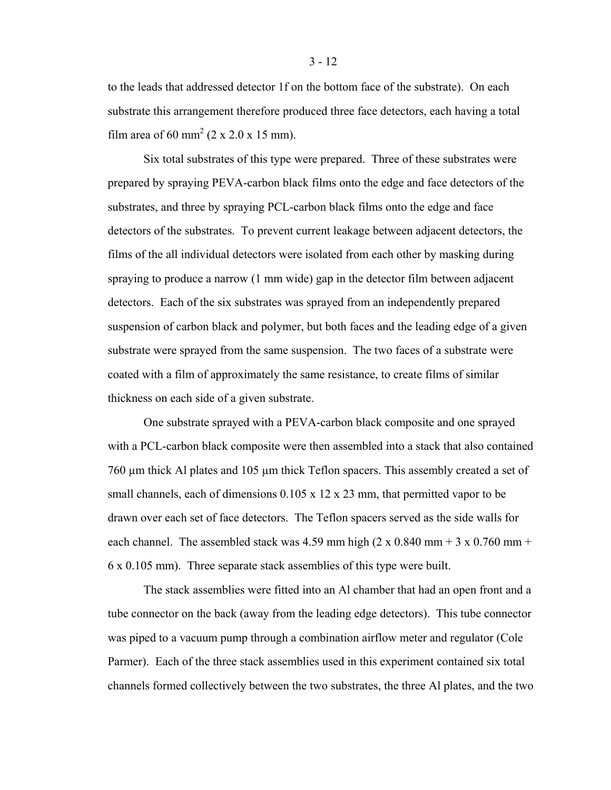to the leads that addressed detector 1f on the bottom face of the substrate). On each substrate this arrangement therefore produced three face detectors, each having a total film area of 60 mm<sup>2</sup> (2 x 2.0 x 15 mm).

Six total substrates of this type were prepared. Three of these substrates were prepared by spraying PEVA-carbon black films onto the edge and face detectors of the substrates, and three by spraying PCL-carbon black films onto the edge and face detectors of the substrates. To prevent current leakage between adjacent detectors, the films of the all individual detectors were isolated from each other by masking during spraying to produce a narrow (1 mm wide) gap in the detector film between adjacent detectors. Each of the six substrates was sprayed from an independently prepared suspension of carbon black and polymer, but both faces and the leading edge of a given substrate were sprayed from the same suspension. The two faces of a substrate were coated with a film of approximately the same resistance, to create films of similar thickness on each side of a given substrate.

One substrate sprayed with a PEVA-carbon black composite and one sprayed with a PCL-carbon black composite were then assembled into a stack that also contained 760 µm thick Al plates and 105 µm thick Teflon spacers. This assembly created a set of small channels, each of dimensions  $0.105 \times 12 \times 23$  mm, that permitted vapor to be drawn over each set of face detectors. The Teflon spacers served as the side walls for each channel. The assembled stack was 4.59 mm high  $(2 \times 0.840 \text{ mm} + 3 \times 0.760 \text{ mm} +$ 6 x 0.105 mm). Three separate stack assemblies of this type were built.

The stack assemblies were fitted into an Al chamber that had an open front and a tube connector on the back (away from the leading edge detectors). This tube connector was piped to a vacuum pump through a combination airflow meter and regulator (Cole Parmer). Each of the three stack assemblies used in this experiment contained six total channels formed collectively between the two substrates, the three Al plates, and the two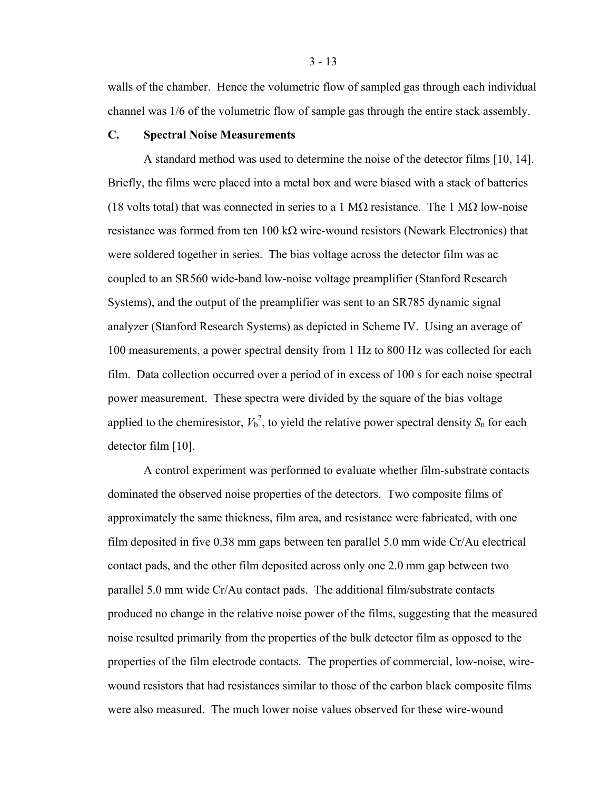walls of the chamber. Hence the volumetric flow of sampled gas through each individual channel was 1/6 of the volumetric flow of sample gas through the entire stack assembly.

#### **C. Spectral Noise Measurements**

A standard method was used to determine the noise of the detector films [10, 14]. Briefly, the films were placed into a metal box and were biased with a stack of batteries (18 volts total) that was connected in series to a 1 M $\Omega$  resistance. The 1 M $\Omega$  low-noise resistance was formed from ten 100 k $\Omega$  wire-wound resistors (Newark Electronics) that were soldered together in series. The bias voltage across the detector film was ac coupled to an SR560 wide-band low-noise voltage preamplifier (Stanford Research Systems), and the output of the preamplifier was sent to an SR785 dynamic signal analyzer (Stanford Research Systems) as depicted in Scheme IV. Using an average of 100 measurements, a power spectral density from 1 Hz to 800 Hz was collected for each film. Data collection occurred over a period of in excess of 100 s for each noise spectral power measurement. These spectra were divided by the square of the bias voltage applied to the chemiresistor,  $V_b^2$ , to yield the relative power spectral density  $S_n$  for each detector film [10].

A control experiment was performed to evaluate whether film-substrate contacts dominated the observed noise properties of the detectors. Two composite films of approximately the same thickness, film area, and resistance were fabricated, with one film deposited in five 0.38 mm gaps between ten parallel 5.0 mm wide Cr/Au electrical contact pads, and the other film deposited across only one 2.0 mm gap between two parallel 5.0 mm wide Cr/Au contact pads. The additional film/substrate contacts produced no change in the relative noise power of the films, suggesting that the measured noise resulted primarily from the properties of the bulk detector film as opposed to the properties of the film electrode contacts. The properties of commercial, low-noise, wirewound resistors that had resistances similar to those of the carbon black composite films were also measured. The much lower noise values observed for these wire-wound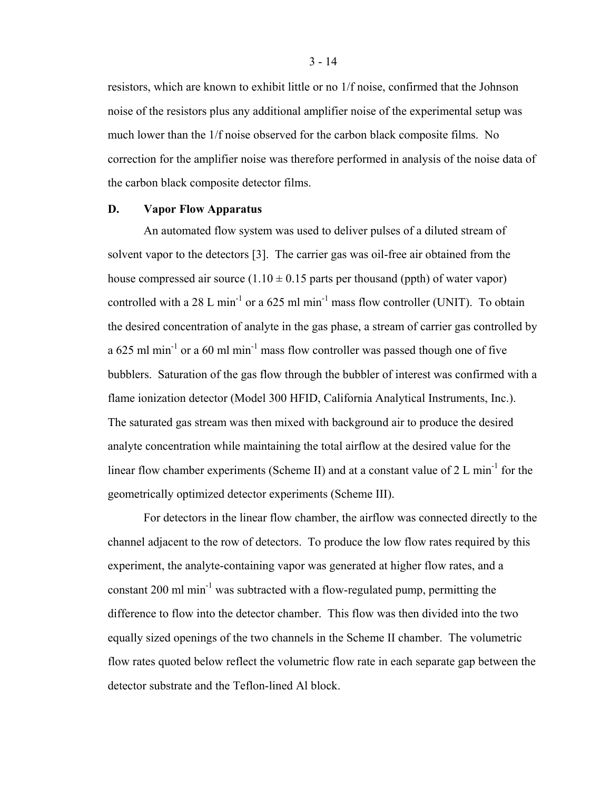resistors, which are known to exhibit little or no 1/f noise, confirmed that the Johnson noise of the resistors plus any additional amplifier noise of the experimental setup was much lower than the 1/f noise observed for the carbon black composite films. No correction for the amplifier noise was therefore performed in analysis of the noise data of the carbon black composite detector films.

### **D. Vapor Flow Apparatus**

An automated flow system was used to deliver pulses of a diluted stream of solvent vapor to the detectors [3]. The carrier gas was oil-free air obtained from the house compressed air source  $(1.10 \pm 0.15$  parts per thousand (ppth) of water vapor) controlled with a 28 L min<sup>-1</sup> or a 625 ml min<sup>-1</sup> mass flow controller (UNIT). To obtain the desired concentration of analyte in the gas phase, a stream of carrier gas controlled by a 625 ml min<sup>-1</sup> or a 60 ml min<sup>-1</sup> mass flow controller was passed though one of five bubblers. Saturation of the gas flow through the bubbler of interest was confirmed with a flame ionization detector (Model 300 HFID, California Analytical Instruments, Inc.). The saturated gas stream was then mixed with background air to produce the desired analyte concentration while maintaining the total airflow at the desired value for the linear flow chamber experiments (Scheme II) and at a constant value of  $2 L \text{ min}^{-1}$  for the geometrically optimized detector experiments (Scheme III).

For detectors in the linear flow chamber, the airflow was connected directly to the channel adjacent to the row of detectors. To produce the low flow rates required by this experiment, the analyte-containing vapor was generated at higher flow rates, and a constant 200 ml min<sup>-1</sup> was subtracted with a flow-regulated pump, permitting the difference to flow into the detector chamber. This flow was then divided into the two equally sized openings of the two channels in the Scheme II chamber. The volumetric flow rates quoted below reflect the volumetric flow rate in each separate gap between the detector substrate and the Teflon-lined Al block.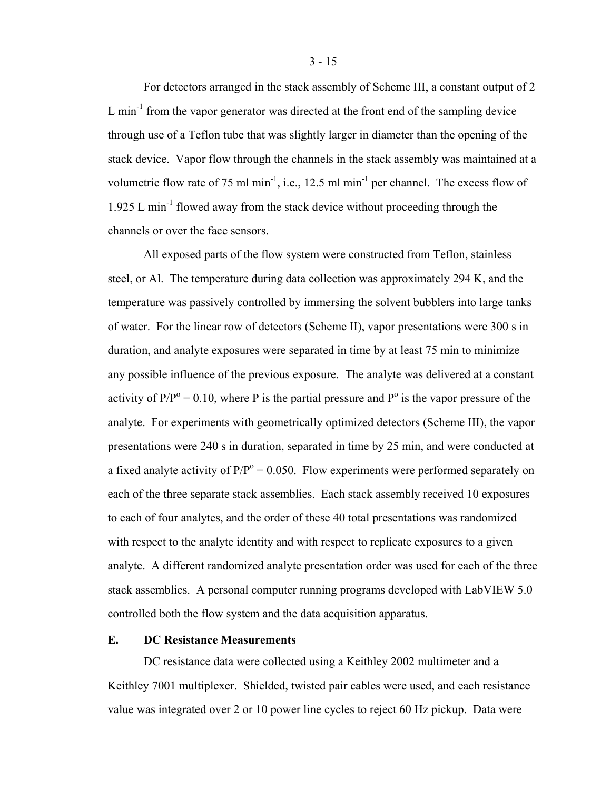For detectors arranged in the stack assembly of Scheme III, a constant output of 2 L min<sup>-1</sup> from the vapor generator was directed at the front end of the sampling device through use of a Teflon tube that was slightly larger in diameter than the opening of the stack device. Vapor flow through the channels in the stack assembly was maintained at a volumetric flow rate of 75 ml min<sup>-1</sup>, i.e., 12.5 ml min<sup>-1</sup> per channel. The excess flow of 1.925 L min -1 flowed away from the stack device without proceeding through the channels or over the face sensors.

All exposed parts of the flow system were constructed from Teflon, stainless steel, or Al. The temperature during data collection was approximately 294 K, and the temperature was passively controlled by immersing the solvent bubblers into large tanks of water. For the linear row of detectors (Scheme II), vapor presentations were 300 s in duration, and analyte exposures were separated in time by at least 75 min to minimize any possible influence of the previous exposure. The analyte was delivered at a constant activity of  $P/P^{\circ} = 0.10$ , where P is the partial pressure and  $P^{\circ}$  is the vapor pressure of the analyte. For experiments with geometrically optimized detectors (Scheme III), the vapor presentations were 240 s in duration, separated in time by 25 min, and were conducted at a fixed analyte activity of  $P/P^{\circ} = 0.050$ . Flow experiments were performed separately on each of the three separate stack assemblies. Each stack assembly received 10 exposures to each of four analytes, and the order of these 40 total presentations was randomized with respect to the analyte identity and with respect to replicate exposures to a given analyte. A different randomized analyte presentation order was used for each of the three stack assemblies. A personal computer running programs developed with LabVIEW 5.0 controlled both the flow system and the data acquisition apparatus.

### **E. DC Resistance Measurements**

DC resistance data were collected using a Keithley 2002 multimeter and a Keithley 7001 multiplexer. Shielded, twisted pair cables were used, and each resistance value was integrated over 2 or 10 power line cycles to reject 60 Hz pickup. Data were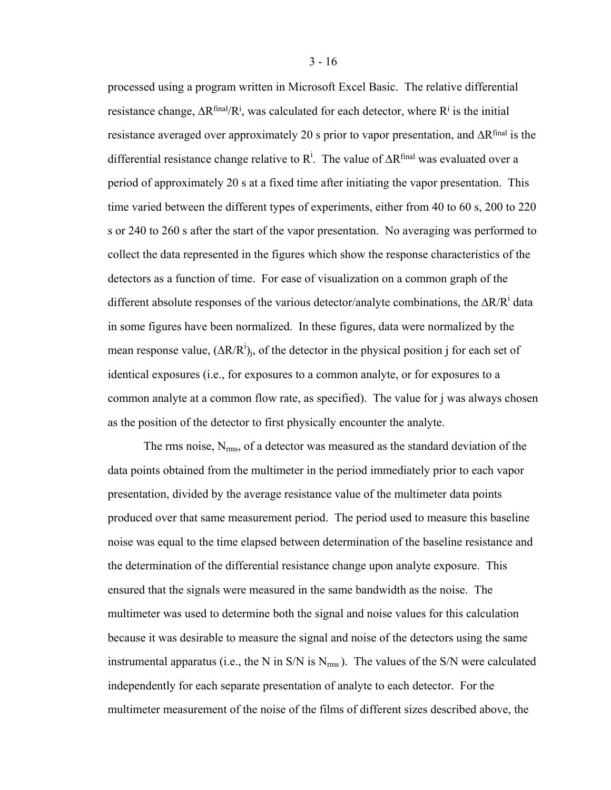processed using a program written in Microsoft Excel Basic. The relative differential resistance change,  $\Delta R^{\text{final}}/R^i$ , was calculated for each detector, where  $R^i$  is the initial resistance averaged over approximately 20 s prior to vapor presentation, and  $\Delta R^{final}$  is the differential resistance change relative to R<sup>i</sup>. The value of  $\Delta R^{final}$  was evaluated over a period of approximately 20 s at a fixed time after initiating the vapor presentation. This time varied between the different types of experiments, either from 40 to 60 s, 200 to 220 s or 240 to 260 s after the start of the vapor presentation. No averaging was performed to collect the data represented in the figures which show the response characteristics of the detectors as a function of time. For ease of visualization on a common graph of the different absolute responses of the various detector/analyte combinations, the  $\Delta R/R^{\dagger}$  data in some figures have been normalized. In these figures, data were normalized by the mean response value,  $(\Delta R/R^i)_j$ , of the detector in the physical position j for each set of identical exposures (i.e., for exposures to a common analyte, or for exposures to a common analyte at a common flow rate, as specified). The value for j was always chosen as the position of the detector to first physically encounter the analyte.

The rms noise,  $N<sub>rms</sub>$ , of a detector was measured as the standard deviation of the data points obtained from the multimeter in the period immediately prior to each vapor presentation, divided by the average resistance value of the multimeter data points produced over that same measurement period. The period used to measure this baseline noise was equal to the time elapsed between determination of the baseline resistance and the determination of the differential resistance change upon analyte exposure. This ensured that the signals were measured in the same bandwidth as the noise. The multimeter was used to determine both the signal and noise values for this calculation because it was desirable to measure the signal and noise of the detectors using the same instrumental apparatus (i.e., the N in S/N is  $N_{rms}$ ). The values of the S/N were calculated independently for each separate presentation of analyte to each detector. For the multimeter measurement of the noise of the films of different sizes described above, the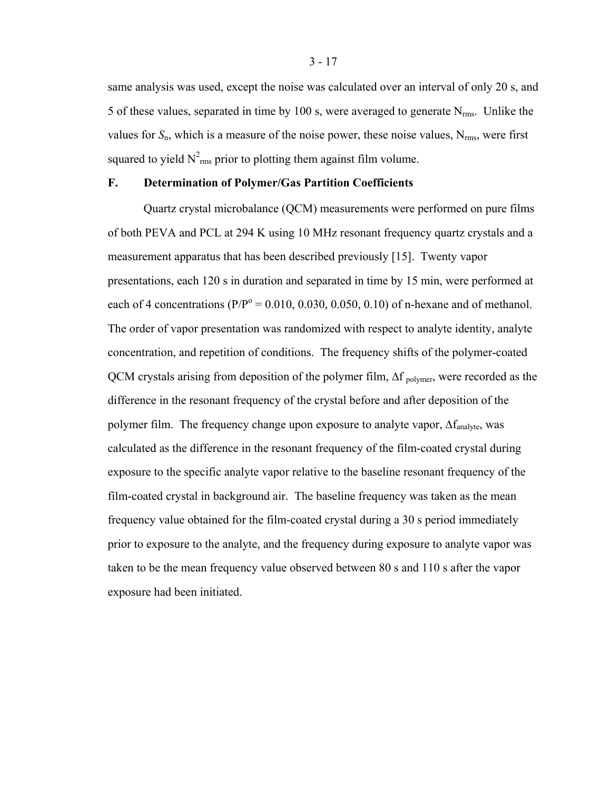same analysis was used, except the noise was calculated over an interval of only 20 s, and 5 of these values, separated in time by 100 s, were averaged to generate  $N_{rms}$ . Unlike the values for  $S_n$ , which is a measure of the noise power, these noise values,  $N_{\rm rms}$ , were first squared to yield  $N^2_{rms}$  prior to plotting them against film volume.

#### **F. Determination of Polymer/Gas Partition Coefficients**

Quartz crystal microbalance (QCM) measurements were performed on pure films of both PEVA and PCL at 294 K using 10 MHz resonant frequency quartz crystals and a measurement apparatus that has been described previously [15]. Twenty vapor presentations, each 120 s in duration and separated in time by 15 min, were performed at each of 4 concentrations ( $P/P^{\circ} = 0.010, 0.030, 0.050, 0.10$ ) of n-hexane and of methanol. The order of vapor presentation was randomized with respect to analyte identity, analyte concentration, and repetition of conditions. The frequency shifts of the polymer-coated QCM crystals arising from deposition of the polymer film,  $\Delta f_{\text{polymer}}$ , were recorded as the difference in the resonant frequency of the crystal before and after deposition of the polymer film. The frequency change upon exposure to analyte vapor, ∆f<sub>analyte</sub>, was calculated as the difference in the resonant frequency of the film-coated crystal during exposure to the specific analyte vapor relative to the baseline resonant frequency of the film-coated crystal in background air. The baseline frequency was taken as the mean frequency value obtained for the film-coated crystal during a 30 s period immediately prior to exposure to the analyte, and the frequency during exposure to analyte vapor was taken to be the mean frequency value observed between 80 s and 110 s after the vapor exposure had been initiated.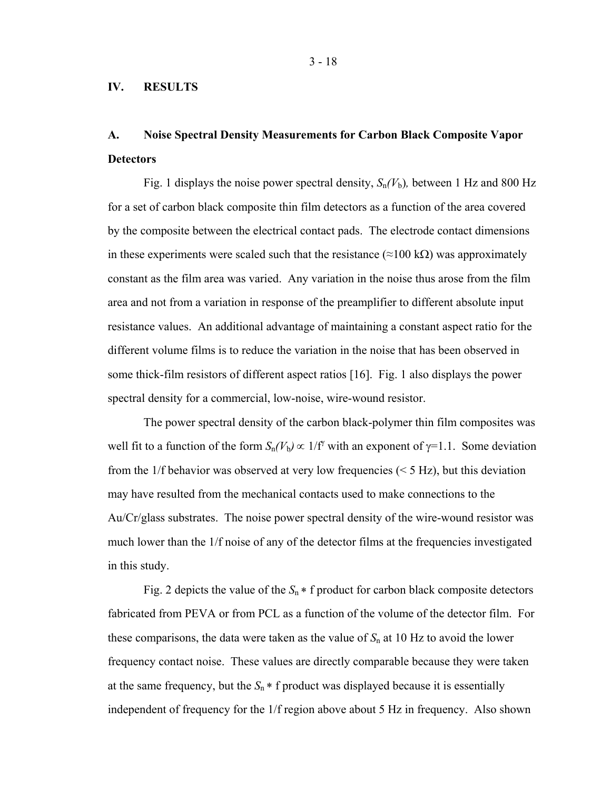## **A. Noise Spectral Density Measurements for Carbon Black Composite Vapor Detectors**

Fig. 1 displays the noise power spectral density,  $S_n(V_b)$ , between 1 Hz and 800 Hz for a set of carbon black composite thin film detectors as a function of the area covered by the composite between the electrical contact pads. The electrode contact dimensions in these experiments were scaled such that the resistance ( $\approx$ 100 kΩ) was approximately constant as the film area was varied. Any variation in the noise thus arose from the film area and not from a variation in response of the preamplifier to different absolute input resistance values. An additional advantage of maintaining a constant aspect ratio for the different volume films is to reduce the variation in the noise that has been observed in some thick-film resistors of different aspect ratios [16]. Fig. 1 also displays the power spectral density for a commercial, low-noise, wire-wound resistor.

The power spectral density of the carbon black-polymer thin film composites was well fit to a function of the form  $S_n(V_b) \propto 1/f'$  with an exponent of  $\gamma=1.1$ . Some deviation from the 1/f behavior was observed at very low frequencies ( $\leq$  5 Hz), but this deviation may have resulted from the mechanical contacts used to make connections to the Au/Cr/glass substrates. The noise power spectral density of the wire-wound resistor was much lower than the 1/f noise of any of the detector films at the frequencies investigated in this study.

Fig. 2 depicts the value of the  $S_n * f$  product for carbon black composite detectors fabricated from PEVA or from PCL as a function of the volume of the detector film. For these comparisons, the data were taken as the value of  $S_n$  at 10 Hz to avoid the lower frequency contact noise. These values are directly comparable because they were taken at the same frequency, but the  $S_n * f$  product was displayed because it is essentially independent of frequency for the 1/f region above about 5 Hz in frequency. Also shown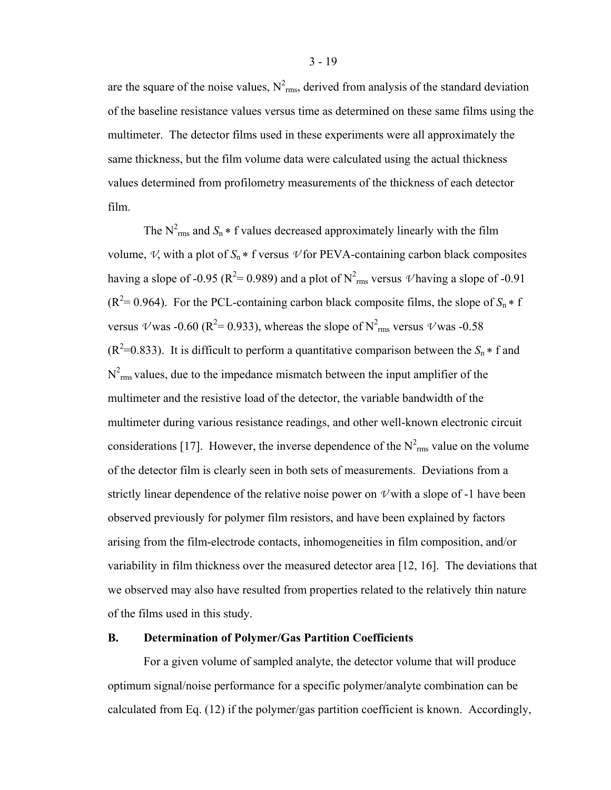are the square of the noise values,  $N^2_{rms}$ , derived from analysis of the standard deviation of the baseline resistance values versus time as determined on these same films using the multimeter. The detector films used in these experiments were all approximately the same thickness, but the film volume data were calculated using the actual thickness values determined from profilometry measurements of the thickness of each detector film.

The  $N^2_{rms}$  and  $S_n *$  f values decreased approximately linearly with the film volume,  $\mathcal{V}$ , with a plot of  $S_n *$  f versus  $\mathcal{V}$  for PEVA-containing carbon black composites having a slope of -0.95 ( $R^2$  = 0.989) and a plot of  $N^2$ <sub>rms</sub> versus  $\mathcal V$  having a slope of -0.91  $(R<sup>2</sup>= 0.964)$ . For the PCL-containing carbon black composite films, the slope of  $S_n * f$ versus  $V$  was -0.60 ( $R^2$ = 0.933), whereas the slope of  $N^2$ <sub>rms</sub> versus  $V$  was -0.58  $(R<sup>2</sup>=0.833)$ . It is difficult to perform a quantitative comparison between the  $S_n * f$  and  $N<sup>2</sup>_{rms}$  values, due to the impedance mismatch between the input amplifier of the multimeter and the resistive load of the detector, the variable bandwidth of the multimeter during various resistance readings, and other well-known electronic circuit considerations [17]. However, the inverse dependence of the  $N^2_{rms}$  value on the volume of the detector film is clearly seen in both sets of measurements. Deviations from a strictly linear dependence of the relative noise power on  $\mathcal V$  with a slope of -1 have been observed previously for polymer film resistors, and have been explained by factors arising from the film-electrode contacts, inhomogeneities in film composition, and/or variability in film thickness over the measured detector area [12, 16]. The deviations that we observed may also have resulted from properties related to the relatively thin nature of the films used in this study.

#### **B. Determination of Polymer/Gas Partition Coefficients**

For a given volume of sampled analyte, the detector volume that will produce optimum signal/noise performance for a specific polymer/analyte combination can be calculated from Eq. (12) if the polymer/gas partition coefficient is known. Accordingly,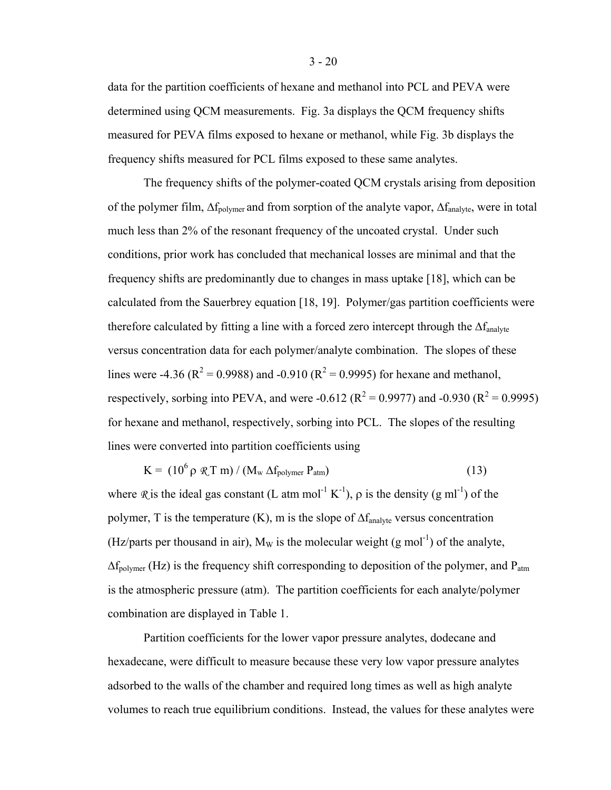data for the partition coefficients of hexane and methanol into PCL and PEVA were determined using QCM measurements. Fig. 3a displays the QCM frequency shifts measured for PEVA films exposed to hexane or methanol, while Fig. 3b displays the frequency shifts measured for PCL films exposed to these same analytes.

The frequency shifts of the polymer-coated QCM crystals arising from deposition of the polymer film,  $\Delta f_{\text{polymer}}$  and from sorption of the analyte vapor,  $\Delta f_{\text{analyte}}$ , were in total much less than 2% of the resonant frequency of the uncoated crystal. Under such conditions, prior work has concluded that mechanical losses are minimal and that the frequency shifts are predominantly due to changes in mass uptake [18], which can be calculated from the Sauerbrey equation [18, 19]. Polymer/gas partition coefficients were therefore calculated by fitting a line with a forced zero intercept through the  $\Delta f_{analytic}$ versus concentration data for each polymer/analyte combination. The slopes of these lines were -4.36 ( $R^2$  = 0.9988) and -0.910 ( $R^2$  = 0.9995) for hexane and methanol, respectively, sorbing into PEVA, and were -0.612 ( $R^2 = 0.9977$ ) and -0.930 ( $R^2 = 0.9995$ ) for hexane and methanol, respectively, sorbing into PCL. The slopes of the resulting lines were converted into partition coefficients using

$$
K = (106 \rho \, \mathcal{R} T \, m) / (M_w \, \Delta f_{\text{polymer}} \, P_{\text{atm}})
$$
 (13)

where  $\Re$  is the ideal gas constant (L atm mol<sup>-1</sup> K<sup>-1</sup>),  $\rho$  is the density (g ml<sup>-1</sup>) of the polymer, T is the temperature (K), m is the slope of  $\Delta f_{analyte}$  versus concentration (Hz/parts per thousand in air),  $M_W$  is the molecular weight (g mol<sup>-1</sup>) of the analyte,  $\Delta f_{\text{polymer}}$  (Hz) is the frequency shift corresponding to deposition of the polymer, and  $P_{\text{atm}}$ is the atmospheric pressure (atm). The partition coefficients for each analyte/polymer combination are displayed in Table 1.

Partition coefficients for the lower vapor pressure analytes, dodecane and hexadecane, were difficult to measure because these very low vapor pressure analytes adsorbed to the walls of the chamber and required long times as well as high analyte volumes to reach true equilibrium conditions. Instead, the values for these analytes were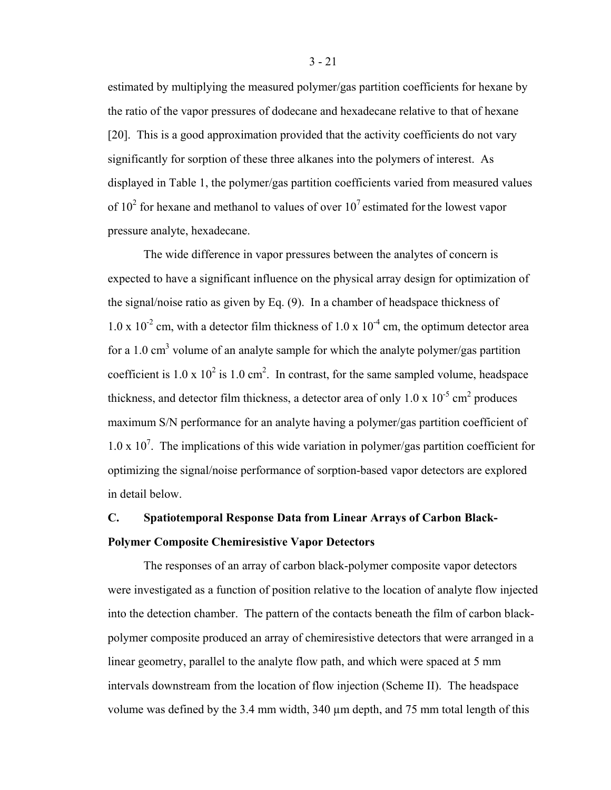estimated by multiplying the measured polymer/gas partition coefficients for hexane by the ratio of the vapor pressures of dodecane and hexadecane relative to that of hexane [20]. This is a good approximation provided that the activity coefficients do not vary significantly for sorption of these three alkanes into the polymers of interest. As displayed in Table 1, the polymer/gas partition coefficients varied from measured values of  $10^2$  for hexane and methanol to values of over  $10^7$  estimated for the lowest vapor pressure analyte, hexadecane.

The wide difference in vapor pressures between the analytes of concern is expected to have a significant influence on the physical array design for optimization of the signal/noise ratio as given by Eq. (9). In a chamber of headspace thickness of  $1.0 \times 10^{-2}$  cm, with a detector film thickness of  $1.0 \times 10^{-4}$  cm, the optimum detector area for a 1.0 cm<sup>3</sup> volume of an analyte sample for which the analyte polymer/gas partition coefficient is  $1.0 \times 10^2$  is  $1.0 \text{ cm}^2$ . In contrast, for the same sampled volume, headspace thickness, and detector film thickness, a detector area of only  $1.0 \times 10^{-5}$  cm<sup>2</sup> produces maximum S/N performance for an analyte having a polymer/gas partition coefficient of  $1.0 \times 10^{7}$ . The implications of this wide variation in polymer/gas partition coefficient for optimizing the signal/noise performance of sorption-based vapor detectors are explored in detail below.

# **C. Spatiotemporal Response Data from Linear Arrays of Carbon Black-Polymer Composite Chemiresistive Vapor Detectors**

The responses of an array of carbon black-polymer composite vapor detectors were investigated as a function of position relative to the location of analyte flow injected into the detection chamber. The pattern of the contacts beneath the film of carbon blackpolymer composite produced an array of chemiresistive detectors that were arranged in a linear geometry, parallel to the analyte flow path, and which were spaced at 5 mm intervals downstream from the location of flow injection (Scheme II). The headspace volume was defined by the 3.4 mm width, 340 µm depth, and 75 mm total length of this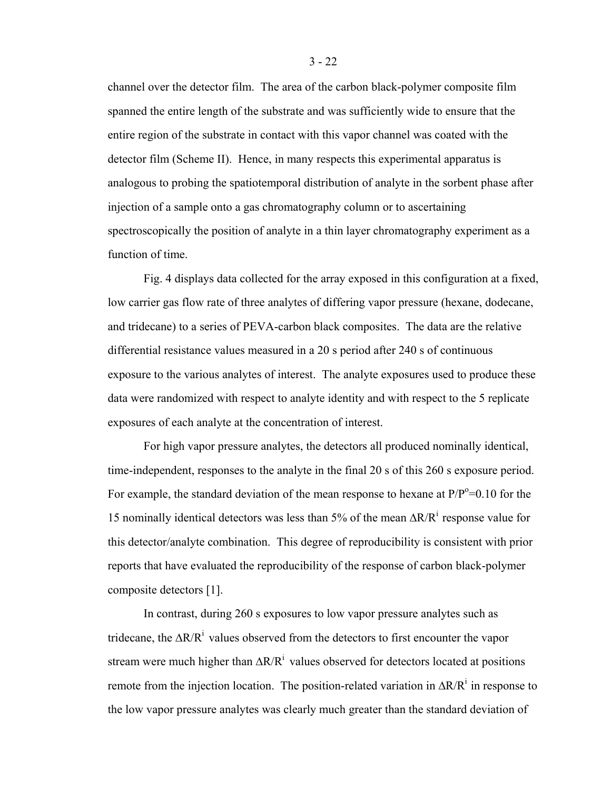channel over the detector film. The area of the carbon black-polymer composite film spanned the entire length of the substrate and was sufficiently wide to ensure that the entire region of the substrate in contact with this vapor channel was coated with the detector film (Scheme II). Hence, in many respects this experimental apparatus is analogous to probing the spatiotemporal distribution of analyte in the sorbent phase after injection of a sample onto a gas chromatography column or to ascertaining spectroscopically the position of analyte in a thin layer chromatography experiment as a function of time.

Fig. 4 displays data collected for the array exposed in this configuration at a fixed, low carrier gas flow rate of three analytes of differing vapor pressure (hexane, dodecane, and tridecane) to a series of PEVA-carbon black composites. The data are the relative differential resistance values measured in a 20 s period after 240 s of continuous exposure to the various analytes of interest. The analyte exposures used to produce these data were randomized with respect to analyte identity and with respect to the 5 replicate exposures of each analyte at the concentration of interest.

For high vapor pressure analytes, the detectors all produced nominally identical, time-independent, responses to the analyte in the final 20 s of this 260 s exposure period. For example, the standard deviation of the mean response to hexane at  $P/P^{\circ}=0.10$  for the 15 nominally identical detectors was less than 5% of the mean  $\Delta R/R^i$  response value for this detector/analyte combination. This degree of reproducibility is consistent with prior reports that have evaluated the reproducibility of the response of carbon black-polymer composite detectors [1].

In contrast, during 260 s exposures to low vapor pressure analytes such as tridecane, the  $\Delta R/R^i$  values observed from the detectors to first encounter the vapor stream were much higher than  $\Delta R/R^i$  values observed for detectors located at positions remote from the injection location. The position-related variation in  $\Delta R/R^1$  in response to the low vapor pressure analytes was clearly much greater than the standard deviation of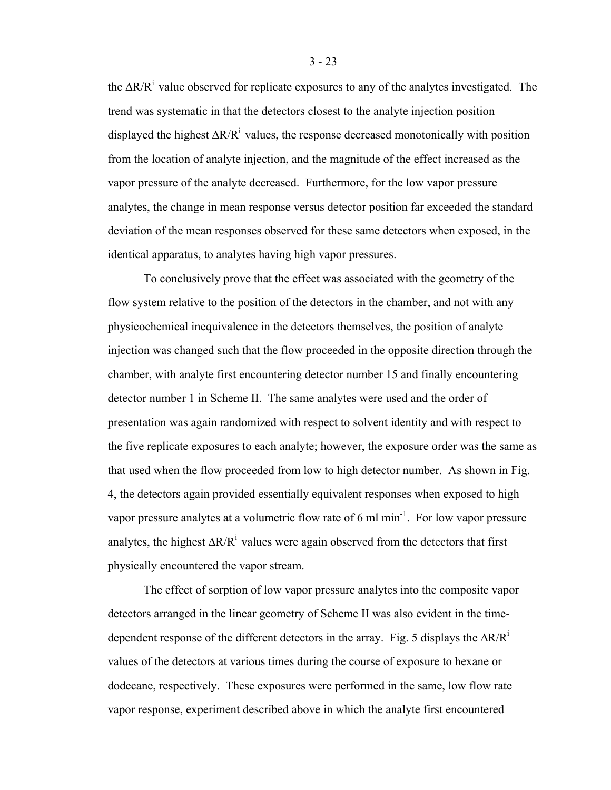the ∆R/R<sup>1</sup> value observed for replicate exposures to any of the analytes investigated. The trend was systematic in that the detectors closest to the analyte injection position displayed the highest  $\Delta R/R^i$  values, the response decreased monotonically with position from the location of analyte injection, and the magnitude of the effect increased as the vapor pressure of the analyte decreased. Furthermore, for the low vapor pressure analytes, the change in mean response versus detector position far exceeded the standard deviation of the mean responses observed for these same detectors when exposed, in the identical apparatus, to analytes having high vapor pressures.

To conclusively prove that the effect was associated with the geometry of the flow system relative to the position of the detectors in the chamber, and not with any physicochemical inequivalence in the detectors themselves, the position of analyte injection was changed such that the flow proceeded in the opposite direction through the chamber, with analyte first encountering detector number 15 and finally encountering detector number 1 in Scheme II. The same analytes were used and the order of presentation was again randomized with respect to solvent identity and with respect to the five replicate exposures to each analyte; however, the exposure order was the same as that used when the flow proceeded from low to high detector number. As shown in Fig. 4, the detectors again provided essentially equivalent responses when exposed to high vapor pressure analytes at a volumetric flow rate of 6 ml  $min^{-1}$ . For low vapor pressure analytes, the highest  $\Delta R/R^i$  values were again observed from the detectors that first physically encountered the vapor stream.

The effect of sorption of low vapor pressure analytes into the composite vapor detectors arranged in the linear geometry of Scheme II was also evident in the timedependent response of the different detectors in the array. Fig. 5 displays the  $\Delta R/R^{\text{i}}$ values of the detectors at various times during the course of exposure to hexane or dodecane, respectively. These exposures were performed in the same, low flow rate vapor response, experiment described above in which the analyte first encountered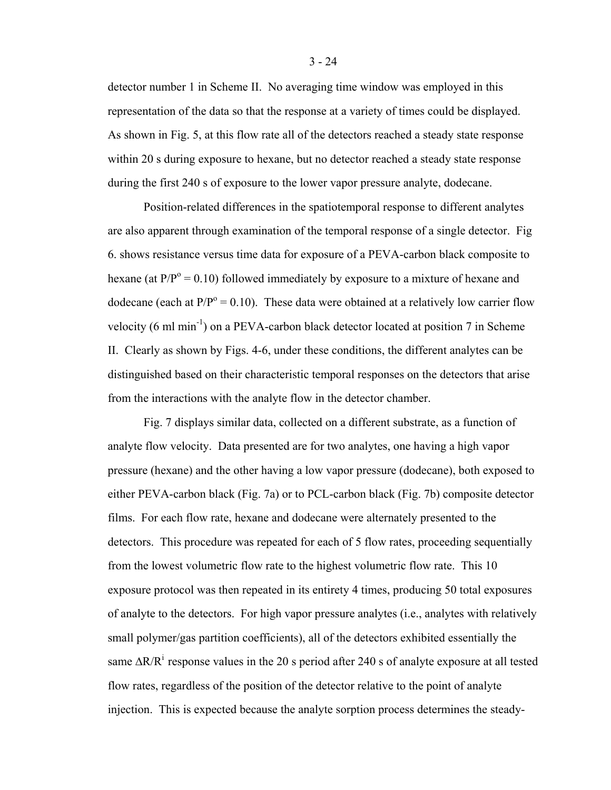detector number 1 in Scheme II. No averaging time window was employed in this representation of the data so that the response at a variety of times could be displayed. As shown in Fig. 5, at this flow rate all of the detectors reached a steady state response within 20 s during exposure to hexane, but no detector reached a steady state response during the first 240 s of exposure to the lower vapor pressure analyte, dodecane.

Position-related differences in the spatiotemporal response to different analytes are also apparent through examination of the temporal response of a single detector. Fig 6. shows resistance versus time data for exposure of a PEVA-carbon black composite to hexane (at  $P/P^{\circ} = 0.10$ ) followed immediately by exposure to a mixture of hexane and dodecane (each at  $P/P^{\circ} = 0.10$ ). These data were obtained at a relatively low carrier flow velocity (6 ml min<sup>-1</sup>) on a PEVA-carbon black detector located at position 7 in Scheme II. Clearly as shown by Figs. 4-6, under these conditions, the different analytes can be distinguished based on their characteristic temporal responses on the detectors that arise from the interactions with the analyte flow in the detector chamber.

Fig. 7 displays similar data, collected on a different substrate, as a function of analyte flow velocity. Data presented are for two analytes, one having a high vapor pressure (hexane) and the other having a low vapor pressure (dodecane), both exposed to either PEVA-carbon black (Fig. 7a) or to PCL-carbon black (Fig. 7b) composite detector films. For each flow rate, hexane and dodecane were alternately presented to the detectors. This procedure was repeated for each of 5 flow rates, proceeding sequentially from the lowest volumetric flow rate to the highest volumetric flow rate. This 10 exposure protocol was then repeated in its entirety 4 times, producing 50 total exposures of analyte to the detectors. For high vapor pressure analytes (i.e., analytes with relatively small polymer/gas partition coefficients), all of the detectors exhibited essentially the same  $\Delta R/R^i$  response values in the 20 s period after 240 s of analyte exposure at all tested flow rates, regardless of the position of the detector relative to the point of analyte injection. This is expected because the analyte sorption process determines the steady-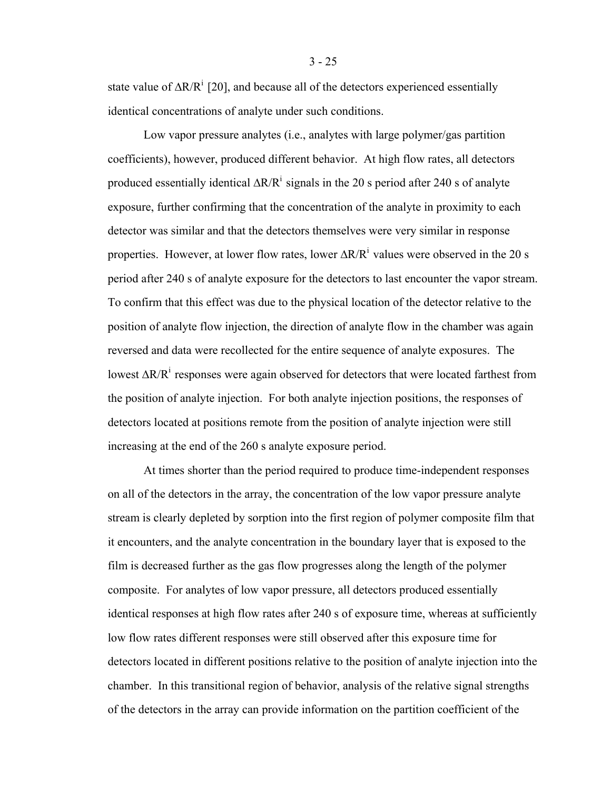state value of  $\Delta R/R^i$  [20], and because all of the detectors experienced essentially identical concentrations of analyte under such conditions.

Low vapor pressure analytes (i.e., analytes with large polymer/gas partition coefficients), however, produced different behavior. At high flow rates, all detectors produced essentially identical  $\Delta R/R^i$  signals in the 20 s period after 240 s of analyte exposure, further confirming that the concentration of the analyte in proximity to each detector was similar and that the detectors themselves were very similar in response properties. However, at lower flow rates, lower  $\Delta R/R^{\dagger}$  values were observed in the 20 s period after 240 s of analyte exposure for the detectors to last encounter the vapor stream. To confirm that this effect was due to the physical location of the detector relative to the position of analyte flow injection, the direction of analyte flow in the chamber was again reversed and data were recollected for the entire sequence of analyte exposures. The lowest ΔR/R<sup>i</sup> responses were again observed for detectors that were located farthest from the position of analyte injection. For both analyte injection positions, the responses of detectors located at positions remote from the position of analyte injection were still increasing at the end of the 260 s analyte exposure period.

At times shorter than the period required to produce time-independent responses on all of the detectors in the array, the concentration of the low vapor pressure analyte stream is clearly depleted by sorption into the first region of polymer composite film that it encounters, and the analyte concentration in the boundary layer that is exposed to the film is decreased further as the gas flow progresses along the length of the polymer composite. For analytes of low vapor pressure, all detectors produced essentially identical responses at high flow rates after 240 s of exposure time, whereas at sufficiently low flow rates different responses were still observed after this exposure time for detectors located in different positions relative to the position of analyte injection into the chamber. In this transitional region of behavior, analysis of the relative signal strengths of the detectors in the array can provide information on the partition coefficient of the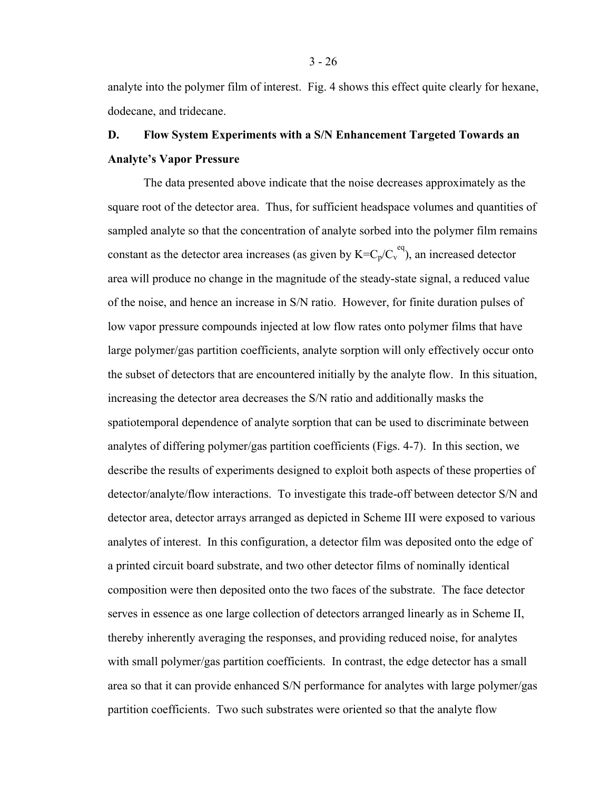analyte into the polymer film of interest. Fig. 4 shows this effect quite clearly for hexane, dodecane, and tridecane.

# **D. Flow System Experiments with a S/N Enhancement Targeted Towards an Analyte's Vapor Pressure**

The data presented above indicate that the noise decreases approximately as the square root of the detector area. Thus, for sufficient headspace volumes and quantities of sampled analyte so that the concentration of analyte sorbed into the polymer film remains constant as the detector area increases (as given by  $K = C_p/C_v^{eq}$ ), an increased detector area will produce no change in the magnitude of the steady-state signal, a reduced value of the noise, and hence an increase in S/N ratio. However, for finite duration pulses of low vapor pressure compounds injected at low flow rates onto polymer films that have large polymer/gas partition coefficients, analyte sorption will only effectively occur onto the subset of detectors that are encountered initially by the analyte flow. In this situation, increasing the detector area decreases the S/N ratio and additionally masks the spatiotemporal dependence of analyte sorption that can be used to discriminate between analytes of differing polymer/gas partition coefficients (Figs. 4-7). In this section, we describe the results of experiments designed to exploit both aspects of these properties of detector/analyte/flow interactions. To investigate this trade-off between detector S/N and detector area, detector arrays arranged as depicted in Scheme III were exposed to various analytes of interest. In this configuration, a detector film was deposited onto the edge of a printed circuit board substrate, and two other detector films of nominally identical composition were then deposited onto the two faces of the substrate. The face detector serves in essence as one large collection of detectors arranged linearly as in Scheme II, thereby inherently averaging the responses, and providing reduced noise, for analytes with small polymer/gas partition coefficients. In contrast, the edge detector has a small area so that it can provide enhanced S/N performance for analytes with large polymer/gas partition coefficients. Two such substrates were oriented so that the analyte flow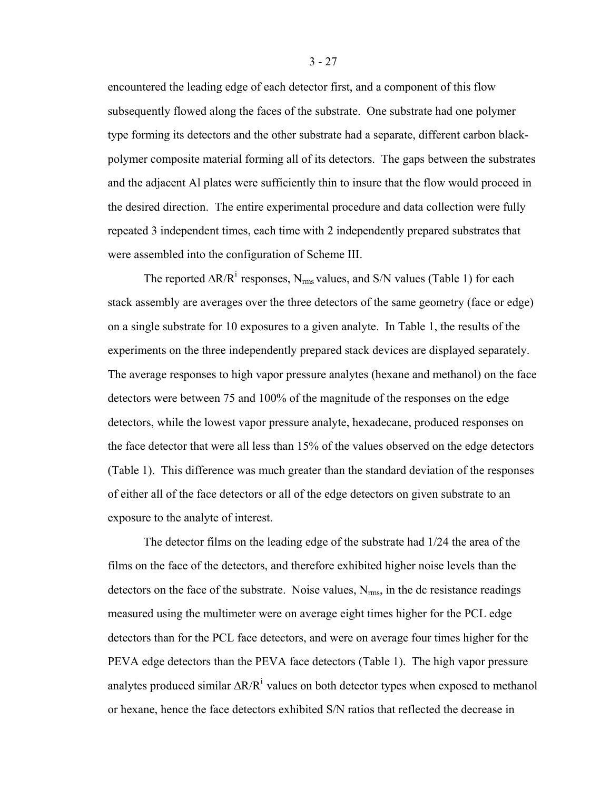encountered the leading edge of each detector first, and a component of this flow subsequently flowed along the faces of the substrate. One substrate had one polymer type forming its detectors and the other substrate had a separate, different carbon blackpolymer composite material forming all of its detectors. The gaps between the substrates and the adjacent Al plates were sufficiently thin to insure that the flow would proceed in the desired direction. The entire experimental procedure and data collection were fully repeated 3 independent times, each time with 2 independently prepared substrates that were assembled into the configuration of Scheme III.

The reported  $\Delta R/R^i$  responses, N<sub>rms</sub> values, and S/N values (Table 1) for each stack assembly are averages over the three detectors of the same geometry (face or edge) on a single substrate for 10 exposures to a given analyte. In Table 1, the results of the experiments on the three independently prepared stack devices are displayed separately. The average responses to high vapor pressure analytes (hexane and methanol) on the face detectors were between 75 and 100% of the magnitude of the responses on the edge detectors, while the lowest vapor pressure analyte, hexadecane, produced responses on the face detector that were all less than 15% of the values observed on the edge detectors (Table 1). This difference was much greater than the standard deviation of the responses of either all of the face detectors or all of the edge detectors on given substrate to an exposure to the analyte of interest.

The detector films on the leading edge of the substrate had 1/24 the area of the films on the face of the detectors, and therefore exhibited higher noise levels than the detectors on the face of the substrate. Noise values,  $N_{\rm rms}$ , in the dc resistance readings measured using the multimeter were on average eight times higher for the PCL edge detectors than for the PCL face detectors, and were on average four times higher for the PEVA edge detectors than the PEVA face detectors (Table 1). The high vapor pressure analytes produced similar  $\Delta R/R^i$  values on both detector types when exposed to methanol or hexane, hence the face detectors exhibited S/N ratios that reflected the decrease in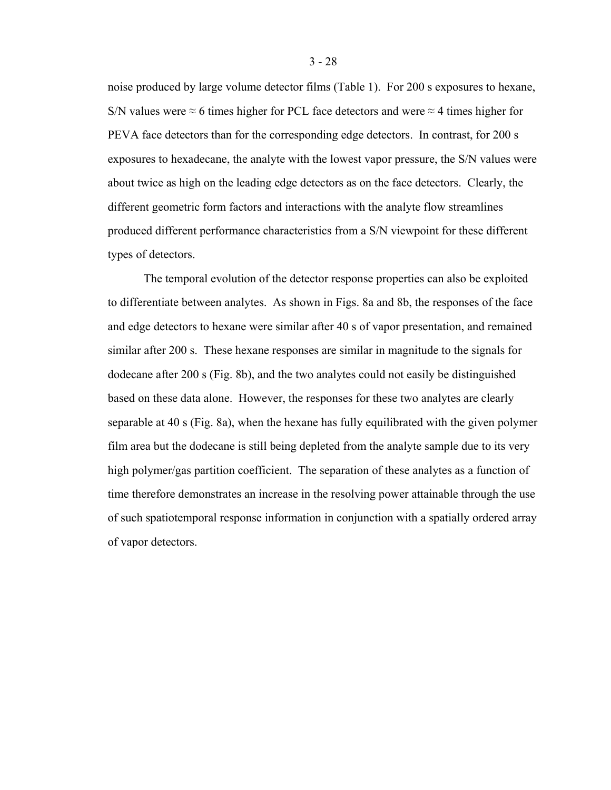noise produced by large volume detector films (Table 1). For 200 s exposures to hexane, S/N values were  $\approx$  6 times higher for PCL face detectors and were  $\approx$  4 times higher for PEVA face detectors than for the corresponding edge detectors. In contrast, for 200 s exposures to hexadecane, the analyte with the lowest vapor pressure, the S/N values were about twice as high on the leading edge detectors as on the face detectors. Clearly, the different geometric form factors and interactions with the analyte flow streamlines produced different performance characteristics from a S/N viewpoint for these different types of detectors.

The temporal evolution of the detector response properties can also be exploited to differentiate between analytes. As shown in Figs. 8a and 8b, the responses of the face and edge detectors to hexane were similar after 40 s of vapor presentation, and remained similar after 200 s. These hexane responses are similar in magnitude to the signals for dodecane after 200 s (Fig. 8b), and the two analytes could not easily be distinguished based on these data alone. However, the responses for these two analytes are clearly separable at 40 s (Fig. 8a), when the hexane has fully equilibrated with the given polymer film area but the dodecane is still being depleted from the analyte sample due to its very high polymer/gas partition coefficient. The separation of these analytes as a function of time therefore demonstrates an increase in the resolving power attainable through the use of such spatiotemporal response information in conjunction with a spatially ordered array of vapor detectors.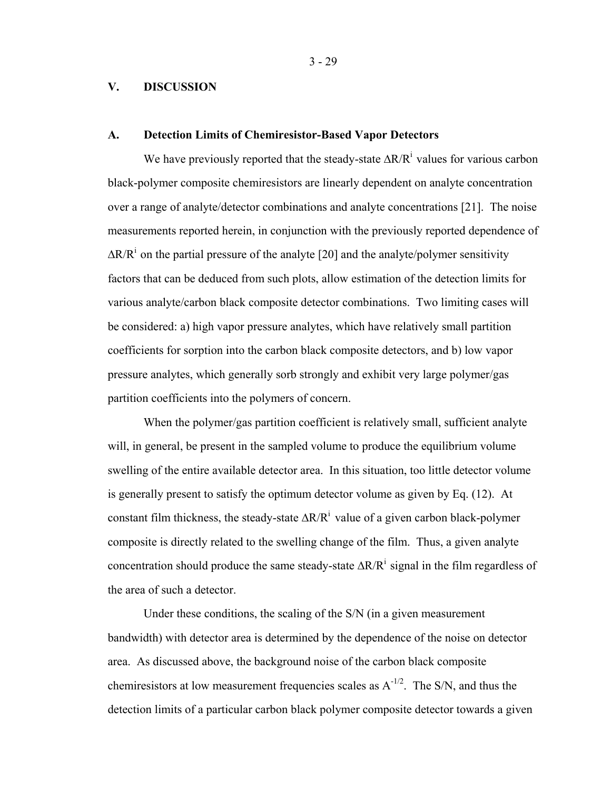#### **V. DISCUSSION**

#### **A. Detection Limits of Chemiresistor-Based Vapor Detectors**

We have previously reported that the steady-state  $\Delta R/R^{\dagger}$  values for various carbon black-polymer composite chemiresistors are linearly dependent on analyte concentration over a range of analyte/detector combinations and analyte concentrations [21]. The noise measurements reported herein, in conjunction with the previously reported dependence of  $\Delta R/R^{\dagger}$  on the partial pressure of the analyte [20] and the analyte/polymer sensitivity factors that can be deduced from such plots, allow estimation of the detection limits for various analyte/carbon black composite detector combinations. Two limiting cases will be considered: a) high vapor pressure analytes, which have relatively small partition coefficients for sorption into the carbon black composite detectors, and b) low vapor pressure analytes, which generally sorb strongly and exhibit very large polymer/gas partition coefficients into the polymers of concern.

When the polymer/gas partition coefficient is relatively small, sufficient analyte will, in general, be present in the sampled volume to produce the equilibrium volume swelling of the entire available detector area. In this situation, too little detector volume is generally present to satisfy the optimum detector volume as given by Eq. (12). At constant film thickness, the steady-state  $\Delta R/R^i$  value of a given carbon black-polymer composite is directly related to the swelling change of the film. Thus, a given analyte concentration should produce the same steady-state  $\Delta R/R^{\dagger}$  signal in the film regardless of the area of such a detector.

Under these conditions, the scaling of the S/N (in a given measurement bandwidth) with detector area is determined by the dependence of the noise on detector area. As discussed above, the background noise of the carbon black composite chemiresistors at low measurement frequencies scales as  $A^{-1/2}$ . The S/N, and thus the detection limits of a particular carbon black polymer composite detector towards a given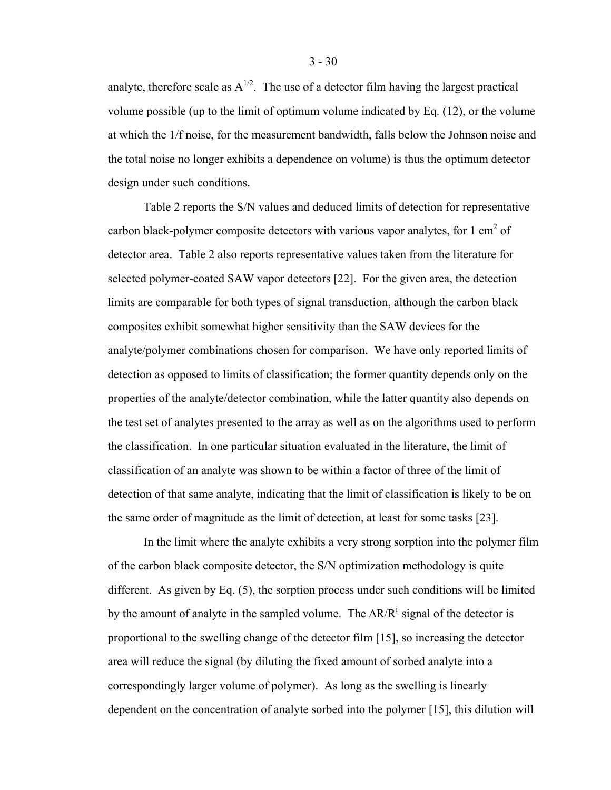analyte, therefore scale as  $A^{1/2}$ . The use of a detector film having the largest practical volume possible (up to the limit of optimum volume indicated by Eq. (12), or the volume at which the 1/f noise, for the measurement bandwidth, falls below the Johnson noise and the total noise no longer exhibits a dependence on volume) is thus the optimum detector design under such conditions.

Table 2 reports the S/N values and deduced limits of detection for representative carbon black-polymer composite detectors with various vapor analytes, for 1 cm<sup>2</sup> of detector area. Table 2 also reports representative values taken from the literature for selected polymer-coated SAW vapor detectors [22]. For the given area, the detection limits are comparable for both types of signal transduction, although the carbon black composites exhibit somewhat higher sensitivity than the SAW devices for the analyte/polymer combinations chosen for comparison. We have only reported limits of detection as opposed to limits of classification; the former quantity depends only on the properties of the analyte/detector combination, while the latter quantity also depends on the test set of analytes presented to the array as well as on the algorithms used to perform the classification. In one particular situation evaluated in the literature, the limit of classification of an analyte was shown to be within a factor of three of the limit of detection of that same analyte, indicating that the limit of classification is likely to be on the same order of magnitude as the limit of detection, at least for some tasks [23].

In the limit where the analyte exhibits a very strong sorption into the polymer film of the carbon black composite detector, the S/N optimization methodology is quite different. As given by Eq. (5), the sorption process under such conditions will be limited by the amount of analyte in the sampled volume. The  $\Delta R/R^i$  signal of the detector is proportional to the swelling change of the detector film [15], so increasing the detector area will reduce the signal (by diluting the fixed amount of sorbed analyte into a correspondingly larger volume of polymer). As long as the swelling is linearly dependent on the concentration of analyte sorbed into the polymer [15], this dilution will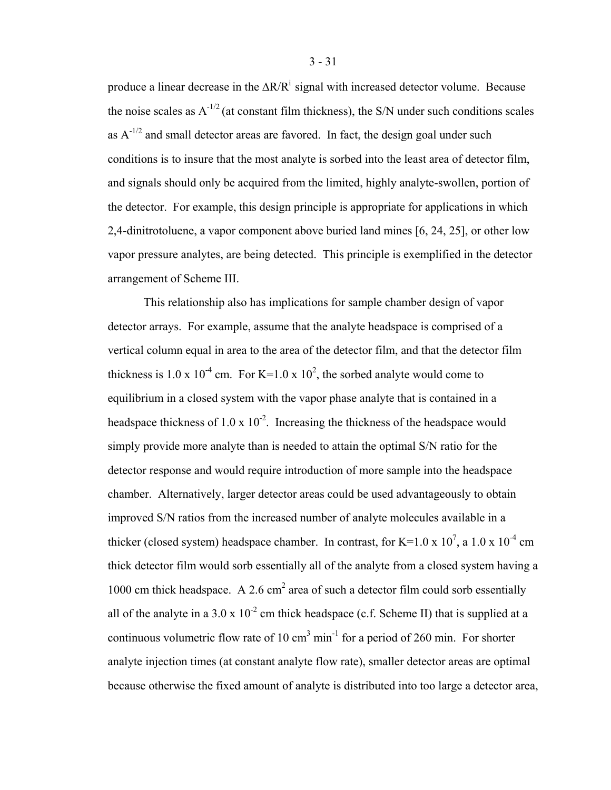produce a linear decrease in the  $\Delta R/R^i$  signal with increased detector volume. Because the noise scales as  $A^{-1/2}$  (at constant film thickness), the S/N under such conditions scales as  $A^{-1/2}$  and small detector areas are favored. In fact, the design goal under such conditions is to insure that the most analyte is sorbed into the least area of detector film, and signals should only be acquired from the limited, highly analyte-swollen, portion of the detector. For example, this design principle is appropriate for applications in which 2,4-dinitrotoluene, a vapor component above buried land mines [6, 24, 25], or other low vapor pressure analytes, are being detected. This principle is exemplified in the detector arrangement of Scheme III.

This relationship also has implications for sample chamber design of vapor detector arrays. For example, assume that the analyte headspace is comprised of a vertical column equal in area to the area of the detector film, and that the detector film thickness is 1.0 x 10<sup>-4</sup> cm. For K=1.0 x 10<sup>2</sup>, the sorbed analyte would come to equilibrium in a closed system with the vapor phase analyte that is contained in a headspace thickness of  $1.0 \times 10^{-2}$ . Increasing the thickness of the headspace would simply provide more analyte than is needed to attain the optimal S/N ratio for the detector response and would require introduction of more sample into the headspace chamber. Alternatively, larger detector areas could be used advantageously to obtain improved S/N ratios from the increased number of analyte molecules available in a thicker (closed system) headspace chamber. In contrast, for K=1.0 x 10<sup>7</sup>, a 1.0 x 10<sup>-4</sup> cm thick detector film would sorb essentially all of the analyte from a closed system having a 1000 cm thick headspace. A 2.6 cm<sup>2</sup> area of such a detector film could sorb essentially all of the analyte in a 3.0 x  $10^{-2}$  cm thick headspace (c.f. Scheme II) that is supplied at a continuous volumetric flow rate of 10 cm<sup>3</sup> min<sup>-1</sup> for a period of 260 min. For shorter analyte injection times (at constant analyte flow rate), smaller detector areas are optimal because otherwise the fixed amount of analyte is distributed into too large a detector area,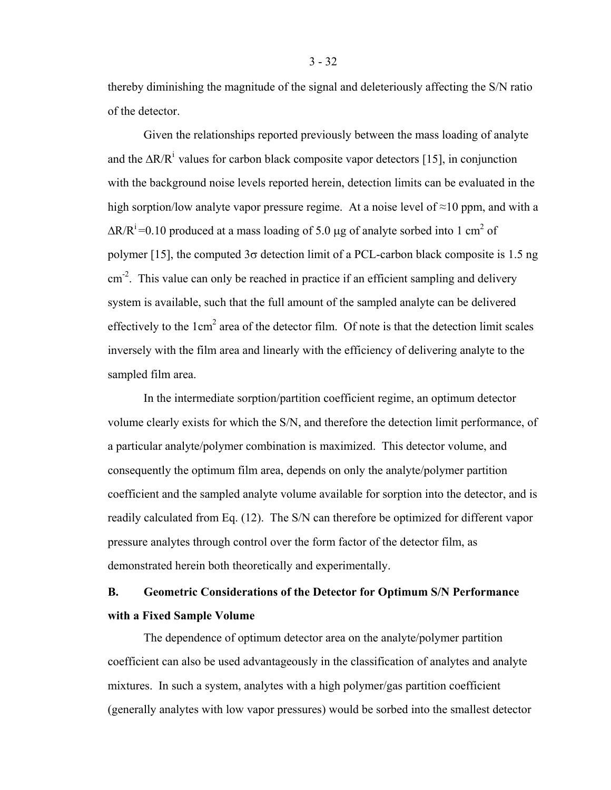thereby diminishing the magnitude of the signal and deleteriously affecting the S/N ratio of the detector.

Given the relationships reported previously between the mass loading of analyte and the  $\Delta R/R^i$  values for carbon black composite vapor detectors [15], in conjunction with the background noise levels reported herein, detection limits can be evaluated in the high sorption/low analyte vapor pressure regime. At a noise level of  $\approx$ 10 ppm, and with a  $\Delta R/R^{i}$ =0.10 produced at a mass loading of 5.0 µg of analyte sorbed into 1 cm<sup>2</sup> of polymer [15], the computed  $3\sigma$  detection limit of a PCL-carbon black composite is 1.5 ng  $\text{cm}^2$ . This value can only be reached in practice if an efficient sampling and delivery system is available, such that the full amount of the sampled analyte can be delivered effectively to the  $1 \text{cm}^2$  area of the detector film. Of note is that the detection limit scales inversely with the film area and linearly with the efficiency of delivering analyte to the sampled film area.

In the intermediate sorption/partition coefficient regime, an optimum detector volume clearly exists for which the S/N, and therefore the detection limit performance, of a particular analyte/polymer combination is maximized. This detector volume, and consequently the optimum film area, depends on only the analyte/polymer partition coefficient and the sampled analyte volume available for sorption into the detector, and is readily calculated from Eq. (12). The S/N can therefore be optimized for different vapor pressure analytes through control over the form factor of the detector film, as demonstrated herein both theoretically and experimentally.

# **B. Geometric Considerations of the Detector for Optimum S/N Performance with a Fixed Sample Volume**

The dependence of optimum detector area on the analyte/polymer partition coefficient can also be used advantageously in the classification of analytes and analyte mixtures. In such a system, analytes with a high polymer/gas partition coefficient (generally analytes with low vapor pressures) would be sorbed into the smallest detector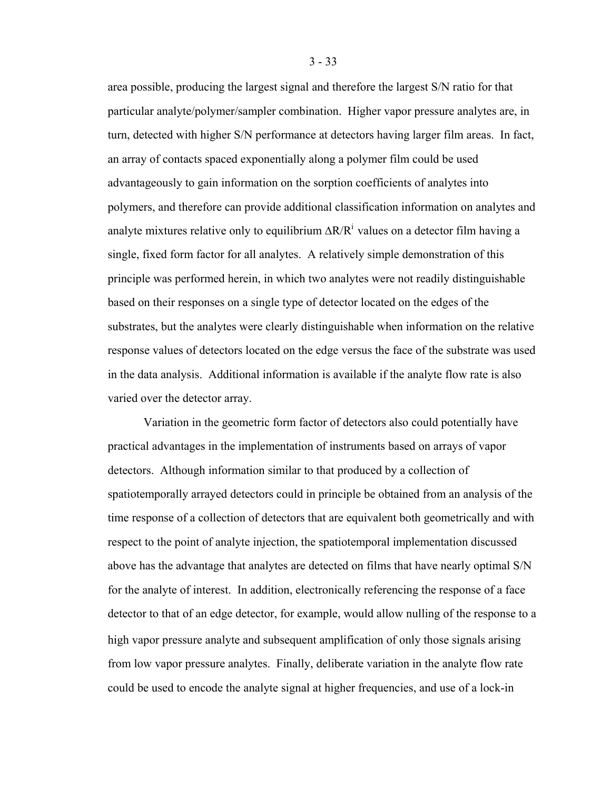area possible, producing the largest signal and therefore the largest S/N ratio for that particular analyte/polymer/sampler combination. Higher vapor pressure analytes are, in turn, detected with higher S/N performance at detectors having larger film areas. In fact, an array of contacts spaced exponentially along a polymer film could be used advantageously to gain information on the sorption coefficients of analytes into polymers, and therefore can provide additional classification information on analytes and analyte mixtures relative only to equilibrium  $\Delta R/R^{\dagger}$  values on a detector film having a single, fixed form factor for all analytes. A relatively simple demonstration of this principle was performed herein, in which two analytes were not readily distinguishable based on their responses on a single type of detector located on the edges of the substrates, but the analytes were clearly distinguishable when information on the relative response values of detectors located on the edge versus the face of the substrate was used in the data analysis. Additional information is available if the analyte flow rate is also varied over the detector array.

Variation in the geometric form factor of detectors also could potentially have practical advantages in the implementation of instruments based on arrays of vapor detectors. Although information similar to that produced by a collection of spatiotemporally arrayed detectors could in principle be obtained from an analysis of the time response of a collection of detectors that are equivalent both geometrically and with respect to the point of analyte injection, the spatiotemporal implementation discussed above has the advantage that analytes are detected on films that have nearly optimal S/N for the analyte of interest. In addition, electronically referencing the response of a face detector to that of an edge detector, for example, would allow nulling of the response to a high vapor pressure analyte and subsequent amplification of only those signals arising from low vapor pressure analytes. Finally, deliberate variation in the analyte flow rate could be used to encode the analyte signal at higher frequencies, and use of a lock-in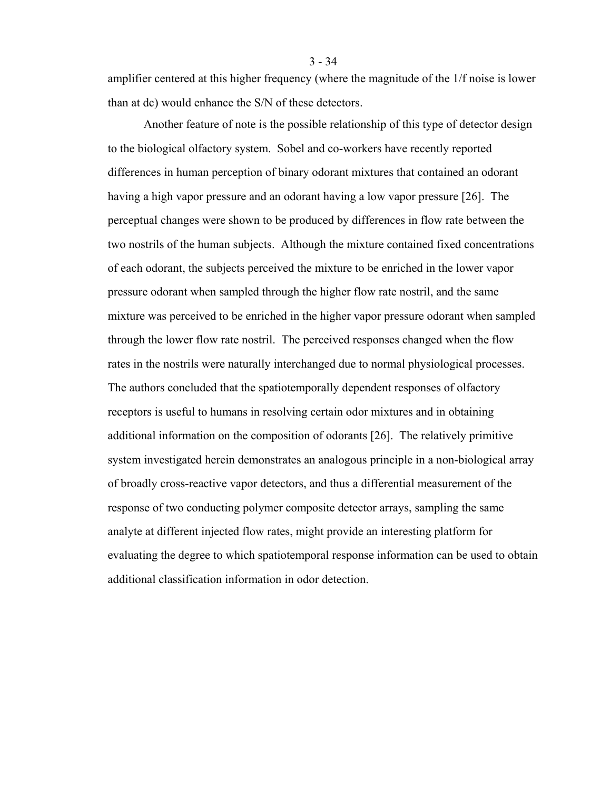amplifier centered at this higher frequency (where the magnitude of the 1/f noise is lower than at dc) would enhance the S/N of these detectors.

Another feature of note is the possible relationship of this type of detector design to the biological olfactory system. Sobel and co-workers have recently reported differences in human perception of binary odorant mixtures that contained an odorant having a high vapor pressure and an odorant having a low vapor pressure [26]. The perceptual changes were shown to be produced by differences in flow rate between the two nostrils of the human subjects. Although the mixture contained fixed concentrations of each odorant, the subjects perceived the mixture to be enriched in the lower vapor pressure odorant when sampled through the higher flow rate nostril, and the same mixture was perceived to be enriched in the higher vapor pressure odorant when sampled through the lower flow rate nostril. The perceived responses changed when the flow rates in the nostrils were naturally interchanged due to normal physiological processes. The authors concluded that the spatiotemporally dependent responses of olfactory receptors is useful to humans in resolving certain odor mixtures and in obtaining additional information on the composition of odorants [26]. The relatively primitive system investigated herein demonstrates an analogous principle in a non-biological array of broadly cross-reactive vapor detectors, and thus a differential measurement of the response of two conducting polymer composite detector arrays, sampling the same analyte at different injected flow rates, might provide an interesting platform for evaluating the degree to which spatiotemporal response information can be used to obtain additional classification information in odor detection.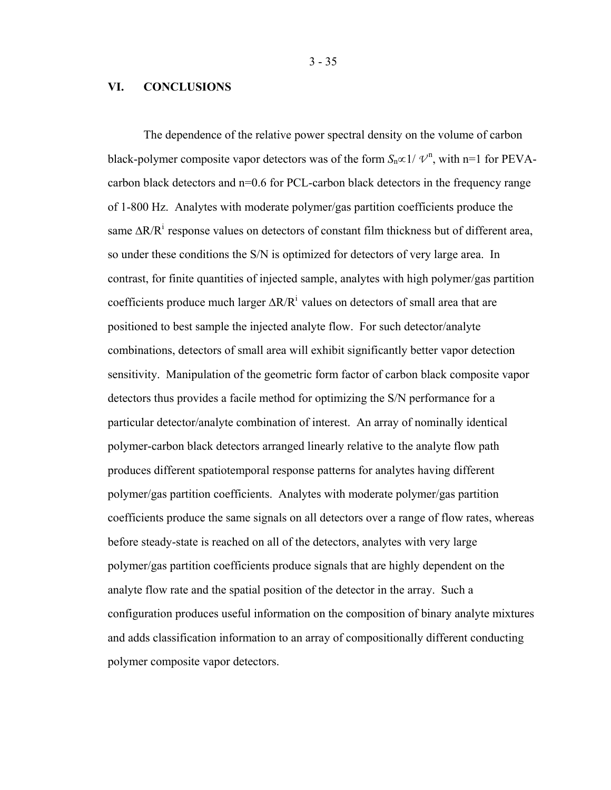3 - 35

#### **VI. CONCLUSIONS**

The dependence of the relative power spectral density on the volume of carbon black-polymer composite vapor detectors was of the form  $S_n \propto 1/\nu^n$ , with n=1 for PEVAcarbon black detectors and n=0.6 for PCL-carbon black detectors in the frequency range of 1-800 Hz. Analytes with moderate polymer/gas partition coefficients produce the same  $\Delta R/R^i$  response values on detectors of constant film thickness but of different area, so under these conditions the S/N is optimized for detectors of very large area. In contrast, for finite quantities of injected sample, analytes with high polymer/gas partition coefficients produce much larger  $\Delta R/R^i$  values on detectors of small area that are positioned to best sample the injected analyte flow. For such detector/analyte combinations, detectors of small area will exhibit significantly better vapor detection sensitivity. Manipulation of the geometric form factor of carbon black composite vapor detectors thus provides a facile method for optimizing the S/N performance for a particular detector/analyte combination of interest. An array of nominally identical polymer-carbon black detectors arranged linearly relative to the analyte flow path produces different spatiotemporal response patterns for analytes having different polymer/gas partition coefficients. Analytes with moderate polymer/gas partition coefficients produce the same signals on all detectors over a range of flow rates, whereas before steady-state is reached on all of the detectors, analytes with very large polymer/gas partition coefficients produce signals that are highly dependent on the analyte flow rate and the spatial position of the detector in the array. Such a configuration produces useful information on the composition of binary analyte mixtures and adds classification information to an array of compositionally different conducting polymer composite vapor detectors.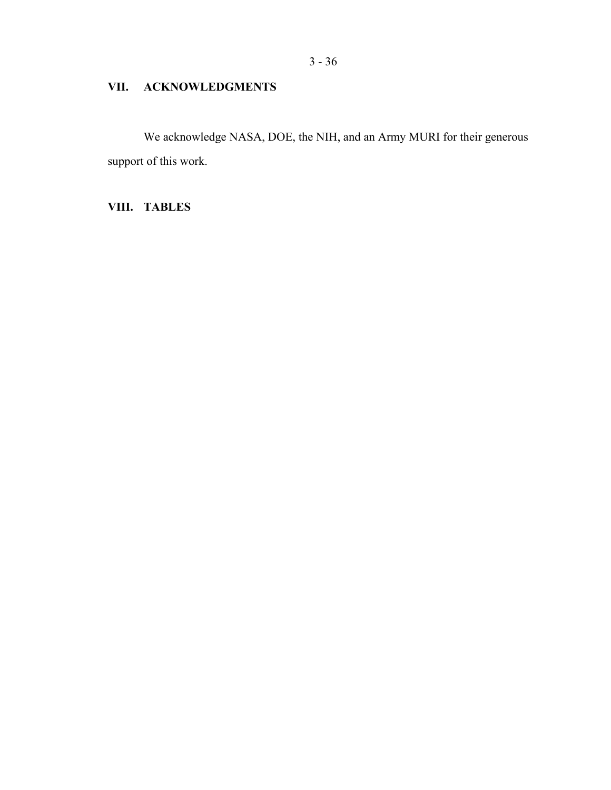## **VII. ACKNOWLEDGMENTS**

We acknowledge NASA, DOE, the NIH, and an Army MURI for their generous support of this work.

**VIII. TABLES**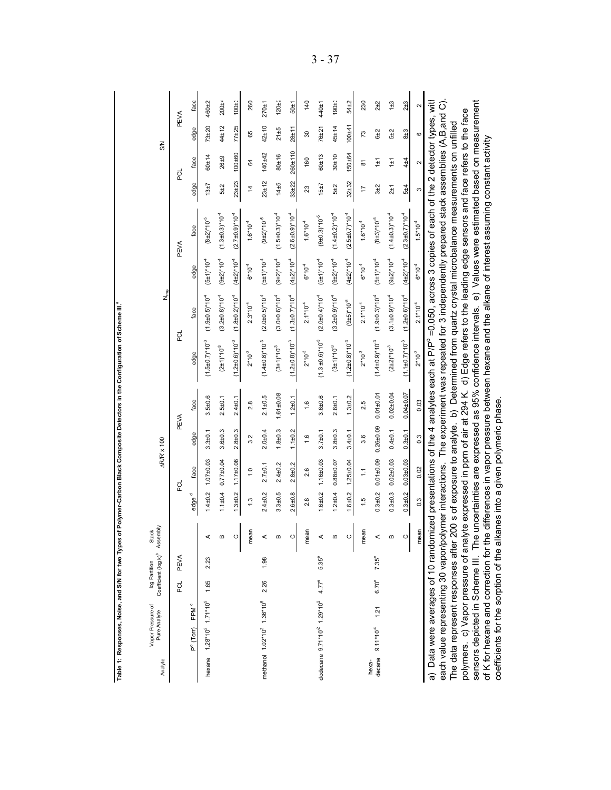| Analyte         | Vapor Pressure of<br>Pure Analyte                                            |                  | log Partition |                | Coefficient (log k) <sup>b</sup> Assembly<br><b>Stack</b> |                  |                                                                            | $\triangle$ R/R $\times$ 100 |                 |                                                                                                                                                                                                                | $\mathbf{Z}^{\mathrm{eff}}$ |                     |                           |                | $\leqslant$       |                  |                   |
|-----------------|------------------------------------------------------------------------------|------------------|---------------|----------------|-----------------------------------------------------------|------------------|----------------------------------------------------------------------------|------------------------------|-----------------|----------------------------------------------------------------------------------------------------------------------------------------------------------------------------------------------------------------|-----------------------------|---------------------|---------------------------|----------------|-------------------|------------------|-------------------|
|                 |                                                                              |                  | <b>PCL</b>    | PEVA           |                                                           |                  | ಕ್ಷ                                                                        |                              | PEVA            |                                                                                                                                                                                                                | g                           |                     | PEVA                      |                | ಕ್ಷ               |                  | <b>PEVA</b>       |
|                 | $P^{\circ}$ (Torr)                                                           | PPM <sup>c</sup> |               |                |                                                           | p<br>edge        | face                                                                       | edge                         | face            | edge                                                                                                                                                                                                           | face                        | edge                | face                      | edge           | face              | edge             | face              |
| hexane          | $1.28*102$ $1.71*105$                                                        |                  | 1.65          | 2.23           | ⋖                                                         | $1.4 + 0.2$      | $1.07 + 0.03$                                                              | $3.3 + 0.1$                  | $3.5 + 0.6$     | $(1.5\pm0.7)*10^{-3}$                                                                                                                                                                                          | $(1.9 \pm 0.5)^* 10^{-4}$   | $(5\pm1)^*10^{-4}$  | $(8+2)*10^{-5}$           | $13 + 7$       | $60 + 14$         | 73±20            | 460±2             |
|                 |                                                                              |                  |               |                | ∞                                                         | $1.1 + 0.4$      | $0.77 \pm 0.04$                                                            | $3.6 + 0.3$                  | $2.5 + 0.1$     | $(2\pm1)*10^{-3}$                                                                                                                                                                                              | $(3.2 \pm 0.8)^* 10^{-4}$   | $(9 + 2)^* 10^{-4}$ | $(1.3 \pm 0.3) * 10^{-4}$ | 5±2            | $26 + 9$          | 44±12            | $200 + 4$         |
|                 |                                                                              |                  |               |                | $\circ$                                                   | $1.3 + 0.2$      | $1.17 \pm 0.08$                                                            | $2.8 + 0.3$                  | $2.4 + 0.1$     | $(1.2 \pm 0.6)^* 10^{-3}$                                                                                                                                                                                      | $(1.8 \pm 0.2)^* 10^{-4}$   | $(4\pm 2)^*10^{4}$  | $(2.7 \pm 0.9)^* 10^{-4}$ | $23 + 23$      | $100 + 60$        | $77 + 25$        | $1000 + 3$        |
|                 |                                                                              |                  |               |                | mean                                                      | $\ddot{.}3$      | $\frac{0}{1}$                                                              | 3.2                          | 2.8             | $2*10^{-3}$                                                                                                                                                                                                    | $2.3*10^{-4}$               | $6*10*4$            | $1.6*10-4$                | $\dot{4}$      | 64                | 65               | 260               |
|                 | methanol 1.02*10 <sup>2</sup> 1.36*10 <sup>5</sup> 2.26                      |                  |               | 1.98           | ⋖                                                         | $2.4 + 0.2$      | $2.7 + 0.1$                                                                | $2.0 + 0.4$                  | $2.1 + 0.5$     | $(1.4\pm0.8)*10-3$                                                                                                                                                                                             | $(2.0 \pm 0.5)^* 10^{-4}$   | $(5\pm1)^*10^{-4}$  | $(9+2)*10^{-5}$           | $23 + 12$      | $140 + 42$        | 42±10            | 270 <sub>±1</sub> |
|                 |                                                                              |                  |               |                | ∞                                                         | $3.3 + 0.5$      | $2.4 \pm 0.2$                                                              | $1.8 + 0.3$                  | $1.61 \pm 0.08$ | $(3\pm1)*10^{-3}$                                                                                                                                                                                              | $(3.0 \pm 0.6)^* 10^{-4}$   | $(9\pm2)^*10^{4}$   | $(1.5 \pm 0.3) * 10^{-4}$ | 14±5           | $80 + 16$         | $21 + 5$         | $120 + 22$        |
|                 |                                                                              |                  |               |                | $\circ$                                                   | $2.6 + 0.8$      | $2.8 + 0.2$                                                                | $1.1 \pm 0.2$                | $1.2 + 0.1$     | $(1.2\pm0.8)*10^{-3}$                                                                                                                                                                                          | $(1.3 \pm 0.7)^* 10^{-4}$   | $(4\pm 2)*10^{-4}$  | $(2.6 \pm 0.9)^* 10^{-4}$ | $33 + 22$      | $260 + 110$       | $28 + 11$        | 50±1              |
|                 |                                                                              |                  |               |                | mean                                                      | $\frac{8}{2}$    | 2.6                                                                        | 1.6                          | 1.6             | $2*10^{-3}$                                                                                                                                                                                                    | $2.1*10^{-4}$               | $6*10-4$            | $1.6*104$                 | 23             | 160               | $\boldsymbol{S}$ | 140               |
|                 | dodecane 9.71*10 <sup>-2</sup> 1.29*10 <sup>2</sup> 4.77 <sup>e</sup>        |                  |               | $5.35^e$       | ⋖                                                         | $1.6 + 0.2$      | $1.16 + 0.03$                                                              | $3.7 + 0.1$                  | $3.6 + 0.6$     | $(1.3 \pm 0.6)^* 10^{-3}$                                                                                                                                                                                      | $(2.0 \pm 0.4)^* 10^{-4}$   | $(5\pm1)^*10^{-4}$  | $(9\pm 0.3)*10-5$         | $15 + 7$       | $60 + 13$         | 76±21            | 440±1             |
|                 |                                                                              |                  |               |                | ∞                                                         | $1.2 + 0.4$      | $0.88 + 0.07$                                                              | $3.8 + 0.3$                  | $2.6 + 0.1$     | $(3\pm1)*10^{-3}$                                                                                                                                                                                              | $(3.2 \pm 0.9)^* 10^{-4}$   | $(9\pm2)^*10^{4}$   | $(1.4\pm0.2)*10^{-4}$     | $5 + 2$        | $30 + 10$         | 45±14            | 190±3             |
|                 |                                                                              |                  |               |                | $\circ$                                                   | $1.6 + 0.2$      | $1.25 + 0.04$                                                              | $3.4 + 0.1$                  | $1.3 + 0.2$     | $(1.2\pm0.8)^*10^{-3}$                                                                                                                                                                                         | $(9±5)*10-5$                | $(4\pm 2)^*10^{4}$  | $(2.5 \pm 0.7)^* 10^{-4}$ | $32 + 32$      | $150 + 64$        | $100 + 41$       | 54±2              |
|                 |                                                                              |                  |               |                | mean                                                      | 1.5              | $\ddot{ }$ :                                                               | 3.6                          | 2.5             | $2*10-3$                                                                                                                                                                                                       | $2.1*10^{-4}$               | $6*10-4$            | $1.6*104$                 | $\overline{1}$ | <u>ន</u>          | 73               | 230               |
| decane<br>hexa- | $9.11*10-4$                                                                  | 1.21             | $6.70^\circ$  | $7.35^{\circ}$ | ⋖                                                         | $0.3 + 0.2$      | $0.01 \pm 0.09$                                                            | $0.26 + 0.09$                | $0.01 \pm 0.01$ | $(1.4\pm0.9)*10^{-3}$                                                                                                                                                                                          | $(1.9 \pm 0.3)^* 10^{-4}$   | $(5\pm1)^*10^{4}$   | $(8+3)*10^{-5}$           | 3 ± 2          | $1\pm1$           | 6 <sub>±2</sub>  | $2+2$             |
|                 |                                                                              |                  |               |                | m                                                         | $0.3 + 0.3$      | $0.02 \pm 0.03$                                                            | $0.4 + 0.1$                  | $0.02\pm0.04$   | $(2\pm 2)*10^{-3}$                                                                                                                                                                                             | $(3.1 \pm 0.9)^* 10^{-4}$   | $(9+2)*10^{-4}$     | $(1.4\pm0.3)*10-4$        | 2±1            | 1#1               | 5±2              | $1+3$             |
|                 |                                                                              |                  |               |                | $\circ$                                                   | $0.3 + 0.2$      | $0.03 + 0.03$                                                              | $0.3 + 0.1$                  | $0.04 + 0.07$   | $(1.1\pm0.7)*10^{-3}$                                                                                                                                                                                          | $(1.2 \pm 0.6)^* 10^{-4}$   | $(4\pm 2)*10^{4}$   | $(2.3 \pm 0.7)^* 10^{-4}$ | $5 + 4$        | $4 + 4$           | $8+3$            | $2+3$             |
|                 |                                                                              |                  |               |                | mean                                                      | $0.\overline{3}$ | 0.02                                                                       | $0.\overline{3}$             | 0.03            | $2*10^{-3}$                                                                                                                                                                                                    | $2.1*10^{-4}$               | $6*10^{-4}$         | $1.5*10-4$                | S              | $\mathbf{\Omega}$ | $\circ$          | $\sim$            |
|                 | a) Data were averages of 10 random                                           |                  |               |                |                                                           |                  |                                                                            |                              |                 | iized presentations of the 4 analytes each at P/P° =0.050, across 3 copies of each of the 2 detector types, wit                                                                                                |                             |                     |                           |                |                   |                  |                   |
|                 | each value representing 30 vapor/pol<br>The data represent responses after 2 |                  |               |                |                                                           |                  |                                                                            |                              |                 | lymer interactions. The experiment was repeated for 3 independently prepared stack assemblies (A,B,and<br>00 s of exposure to analyte. b) Determined from quartz crystal microbalance measurements on unfilled |                             |                     |                           |                |                   |                  | $\vec{\circ}$     |
|                 |                                                                              |                  |               |                |                                                           |                  |                                                                            |                              |                 | polymers. c) Vapor pressure of analyte expressed in ppm of air at 294 K. d) Edge refers to the leading edge sensors and face refers to the face                                                                |                             |                     |                           |                |                   |                  |                   |
|                 | sensors depicted in Scheme III. The                                          |                  |               |                |                                                           |                  |                                                                            |                              |                 | uncertainties are expressed as 95% confidence intervals. e) Values were estimated based on measurement                                                                                                         |                             |                     |                           |                |                   |                  |                   |
|                 | of K for hexane and correction for the                                       |                  |               |                |                                                           |                  | coefficients for the sorption of the alkanes into a given polymeric phase. |                              |                 | differences in vapor pressure between hexane and the alkane of interest assuming constant activity                                                                                                             |                             |                     |                           |                |                   |                  |                   |

Table 1: Responses, Noise, and S/N for two Types of Polymer-Carbon Black Composite Detectors in the Configuration of Scheme III.ª Table 1: Responses, Noise, and S/N for two Types of Polymer-Carbon Black Composite Detectors in the Configuration of Scheme III.<sup>a</sup>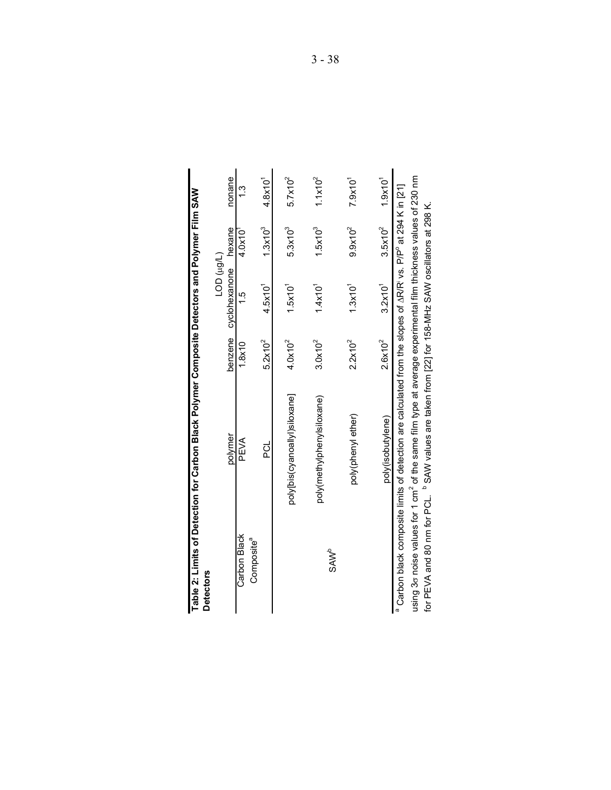| <b>Detectors</b>       | Table 2: Limits of Detection for Carbon Black Polymer Composite Detectors and Polymer Film SAW                                                                                                                                                                                                                                                                          |                     |                      |                     |                     |
|------------------------|-------------------------------------------------------------------------------------------------------------------------------------------------------------------------------------------------------------------------------------------------------------------------------------------------------------------------------------------------------------------------|---------------------|----------------------|---------------------|---------------------|
|                        |                                                                                                                                                                                                                                                                                                                                                                         |                     | (T/bm) CIOT          |                     |                     |
|                        | polymer                                                                                                                                                                                                                                                                                                                                                                 | benzene             | cyclohexanone hexane |                     | nonane              |
| Carbon Black           | PEVA                                                                                                                                                                                                                                                                                                                                                                    | 1.8x10              | 15                   | $4.0\times10$       | <u>ი</u>            |
| Composite <sup>a</sup> | ಕ್ಷ                                                                                                                                                                                                                                                                                                                                                                     | $5.2 \times 10^{2}$ | 4.5x10 <sup>1</sup>  | $1.3 \times 10^{3}$ | $4.8 \times 10^{1}$ |
|                        | poly[bis(cyanoallyl)siloxane]                                                                                                                                                                                                                                                                                                                                           | $4.0 \times 10^{2}$ | 1.5x10 <sup>1</sup>  | $5.3 \times 10^{3}$ | 5.7x10 <sup>2</sup> |
| <b>SAW<sup>b</sup></b> | poly(methylphenylsiloxane)                                                                                                                                                                                                                                                                                                                                              | $3.0 \times 10^{2}$ | 1.4x10 <sup>1</sup>  | 1.5x10 <sup>3</sup> | 1.1x10 <sup>2</sup> |
|                        | poly(phenyl ether)                                                                                                                                                                                                                                                                                                                                                      | $2.2 \times 10^{2}$ | $1.3 \times 10^{1}$  | $9.9x10^{2}$        | 7.9x10 <sup>1</sup> |
|                        | poly(isobutylene)                                                                                                                                                                                                                                                                                                                                                       | $2.6x10^{2}$        | $3.2 \times 10^{1}$  | $3.5\times10^2$     | 1.9x10 <sup>1</sup> |
|                        | using 3o noise values for 1 cm <sup>2</sup> of the same film type at average experimental film thickness values of 230 nm<br><sup>a</sup> Carbon black composite limits of detection are calculated from the slopes of AR/R' vs. P/P° at 294 K in [21]<br>for PEVA and 80 nm for PCL. <sup>D</sup> SAW values are taken from [22] for 158-MHz SAW oscillators at 298 K. |                     |                      |                     |                     |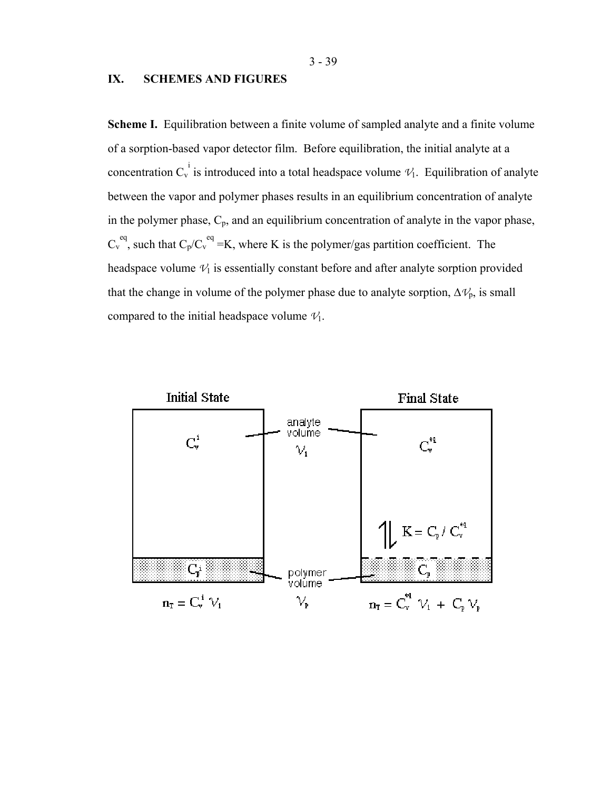3 - 39

### **IX. SCHEMES AND FIGURES**

**Scheme I.** Equilibration between a finite volume of sampled analyte and a finite volume of a sorption-based vapor detector film. Before equilibration, the initial analyte at a concentration  $C_v^i$  is introduced into a total headspace volume  $V_1$ . Equilibration of analyte between the vapor and polymer phases results in an equilibrium concentration of analyte in the polymer phase,  $C_p$ , and an equilibrium concentration of analyte in the vapor phase,  $C_v^{eq}$ , such that  $C_p/C_v^{eq} = K$ , where K is the polymer/gas partition coefficient. The headspace volume  $V_1$  is essentially constant before and after analyte sorption provided that the change in volume of the polymer phase due to analyte sorption,  $\Delta V_p$ , is small compared to the initial headspace volume  $V_1$ .

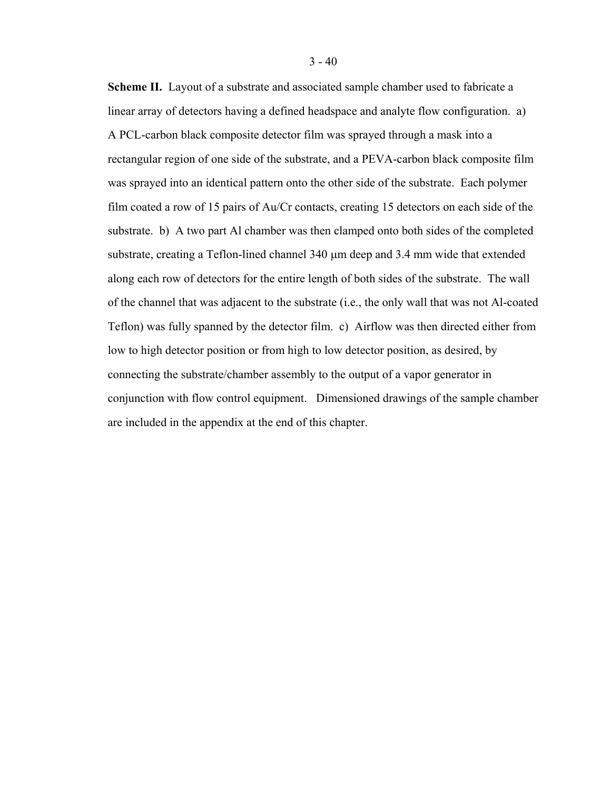**Scheme II.** Layout of a substrate and associated sample chamber used to fabricate a linear array of detectors having a defined headspace and analyte flow configuration. a) A PCL-carbon black composite detector film was sprayed through a mask into a rectangular region of one side of the substrate, and a PEVA-carbon black composite film was sprayed into an identical pattern onto the other side of the substrate. Each polymer film coated a row of 15 pairs of Au/Cr contacts, creating 15 detectors on each side of the substrate. b) A two part Al chamber was then clamped onto both sides of the completed substrate, creating a Teflon-lined channel 340 µm deep and 3.4 mm wide that extended along each row of detectors for the entire length of both sides of the substrate. The wall of the channel that was adjacent to the substrate (i.e., the only wall that was not Al-coated Teflon) was fully spanned by the detector film. c) Airflow was then directed either from low to high detector position or from high to low detector position, as desired, by connecting the substrate/chamber assembly to the output of a vapor generator in conjunction with flow control equipment. Dimensioned drawings of the sample chamber are included in the appendix at the end of this chapter.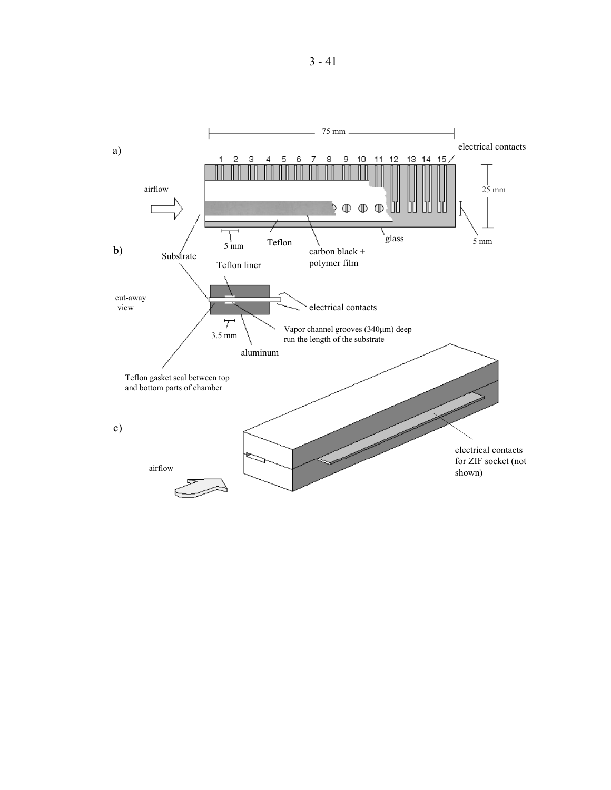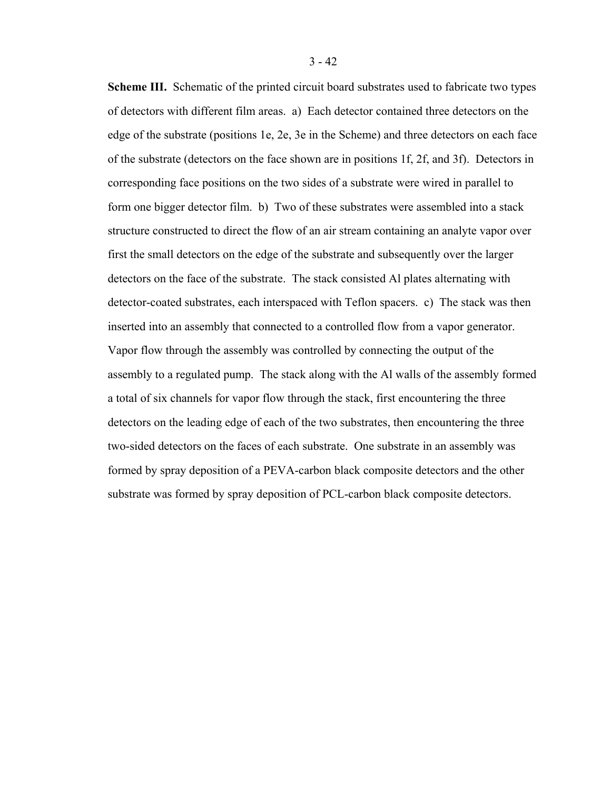**Scheme III.** Schematic of the printed circuit board substrates used to fabricate two types of detectors with different film areas. a) Each detector contained three detectors on the edge of the substrate (positions 1e, 2e, 3e in the Scheme) and three detectors on each face of the substrate (detectors on the face shown are in positions 1f, 2f, and 3f). Detectors in corresponding face positions on the two sides of a substrate were wired in parallel to form one bigger detector film. b) Two of these substrates were assembled into a stack structure constructed to direct the flow of an air stream containing an analyte vapor over first the small detectors on the edge of the substrate and subsequently over the larger detectors on the face of the substrate. The stack consisted Al plates alternating with detector-coated substrates, each interspaced with Teflon spacers. c) The stack was then inserted into an assembly that connected to a controlled flow from a vapor generator. Vapor flow through the assembly was controlled by connecting the output of the assembly to a regulated pump. The stack along with the Al walls of the assembly formed a total of six channels for vapor flow through the stack, first encountering the three detectors on the leading edge of each of the two substrates, then encountering the three two-sided detectors on the faces of each substrate. One substrate in an assembly was formed by spray deposition of a PEVA-carbon black composite detectors and the other substrate was formed by spray deposition of PCL-carbon black composite detectors.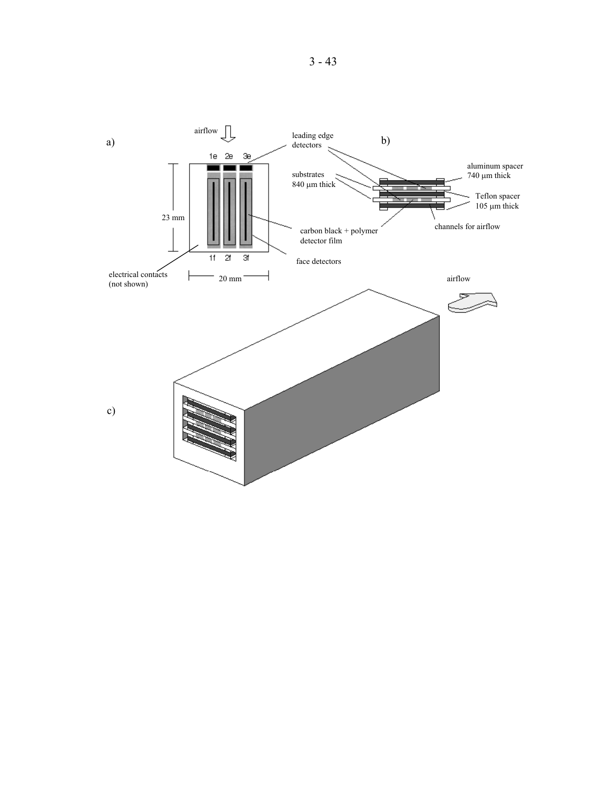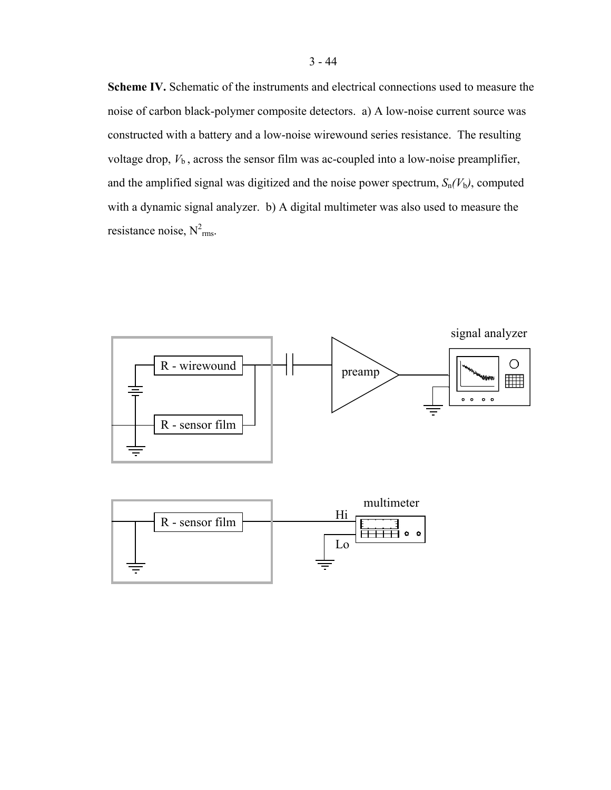**Scheme IV.** Schematic of the instruments and electrical connections used to measure the noise of carbon black-polymer composite detectors. a) A low-noise current source was constructed with a battery and a low-noise wirewound series resistance. The resulting voltage drop,  $V<sub>b</sub>$ , across the sensor film was ac-coupled into a low-noise preamplifier, and the amplified signal was digitized and the noise power spectrum,  $S_n(V_b)$ , computed with a dynamic signal analyzer. b) A digital multimeter was also used to measure the resistance noise,  $N^2_{rms}$ .

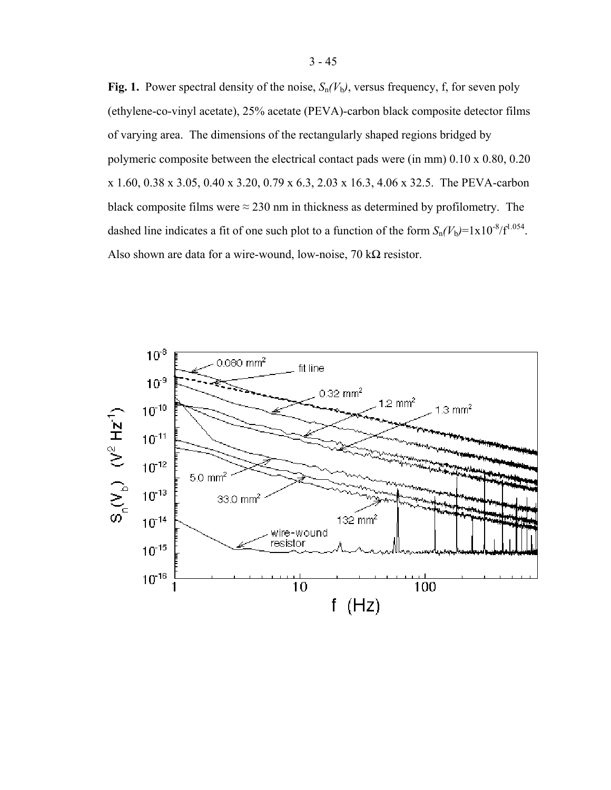**Fig. 1.** Power spectral density of the noise, *S*n*(V*b*)*, versus frequency, f, for seven poly (ethylene-co-vinyl acetate), 25% acetate (PEVA)-carbon black composite detector films of varying area. The dimensions of the rectangularly shaped regions bridged by polymeric composite between the electrical contact pads were (in mm) 0.10 x 0.80, 0.20 x 1.60, 0.38 x 3.05, 0.40 x 3.20, 0.79 x 6.3, 2.03 x 16.3, 4.06 x 32.5. The PEVA-carbon black composite films were  $\approx 230$  nm in thickness as determined by profilometry. The dashed line indicates a fit of one such plot to a function of the form  $S_n(V_b)=1 \times 10^{-8}/f^{1.054}$ . Also shown are data for a wire-wound, low-noise, 70 k $\Omega$  resistor.

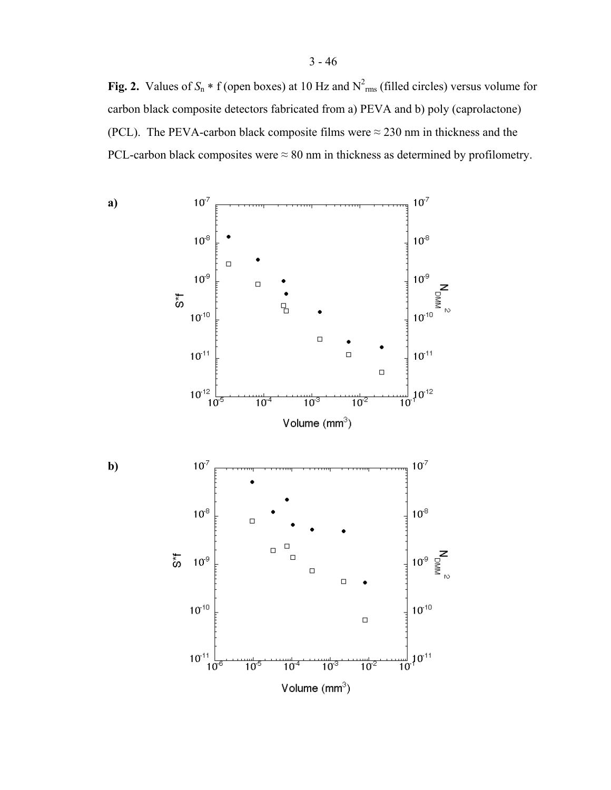**Fig. 2.** Values of  $S_n * f$  (open boxes) at 10 Hz and  $N^2_{rms}$  (filled circles) versus volume for carbon black composite detectors fabricated from a) PEVA and b) poly (caprolactone) (PCL). The PEVA-carbon black composite films were  $\approx 230$  nm in thickness and the PCL-carbon black composites were  $\approx 80$  nm in thickness as determined by profilometry.

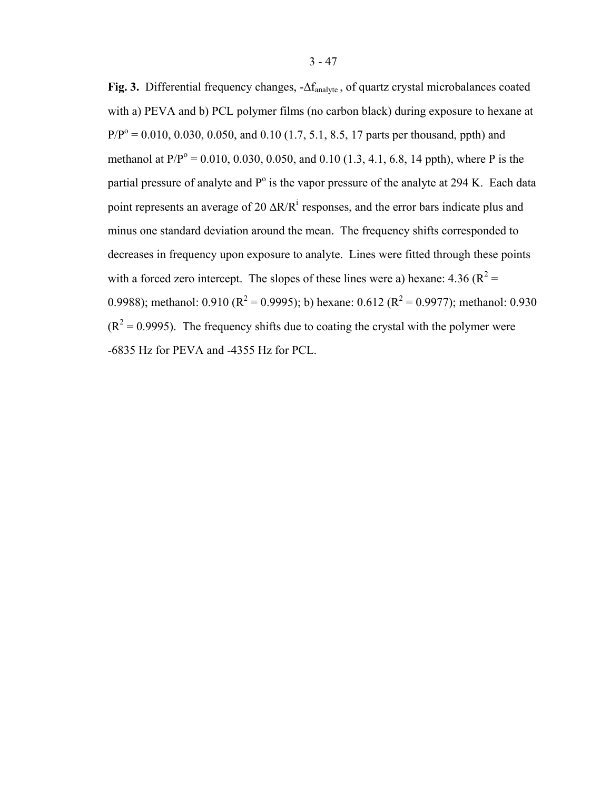**Fig. 3.** Differential frequency changes, -∆fanalyte , of quartz crystal microbalances coated with a) PEVA and b) PCL polymer films (no carbon black) during exposure to hexane at  $P/P<sup>o</sup> = 0.010, 0.030, 0.050,$  and 0.10 (1.7, 5.1, 8.5, 17 parts per thousand, ppth) and methanol at  $P/P^{\circ} = 0.010, 0.030, 0.050,$  and 0.10 (1.3, 4.1, 6.8, 14 ppth), where P is the partial pressure of analyte and  $P^{\circ}$  is the vapor pressure of the analyte at 294 K. Each data point represents an average of 20  $\Delta R/R^{\dagger}$  responses, and the error bars indicate plus and minus one standard deviation around the mean. The frequency shifts corresponded to decreases in frequency upon exposure to analyte. Lines were fitted through these points with a forced zero intercept. The slopes of these lines were a) hexane: 4.36 ( $R^2$  = 0.9988); methanol: 0.910 ( $R^2 = 0.9995$ ); b) hexane: 0.612 ( $R^2 = 0.9977$ ); methanol: 0.930  $(R<sup>2</sup> = 0.9995)$ . The frequency shifts due to coating the crystal with the polymer were -6835 Hz for PEVA and -4355 Hz for PCL.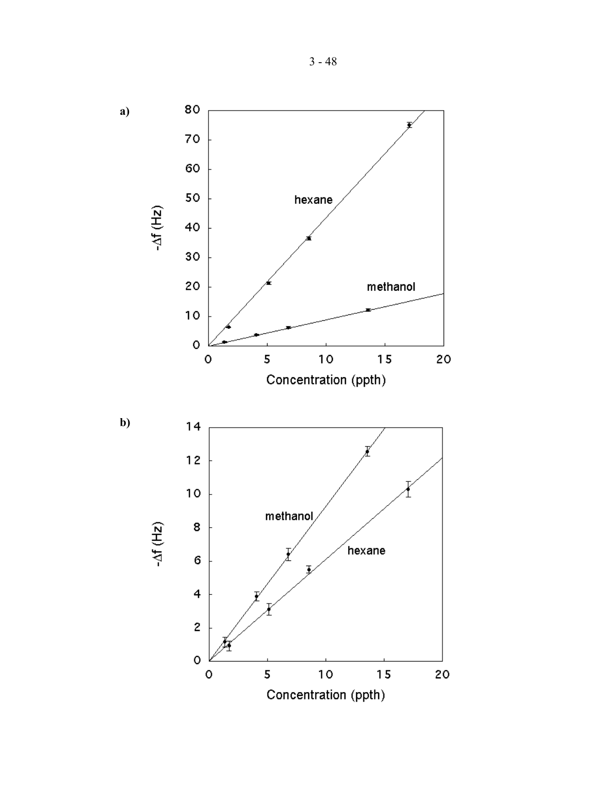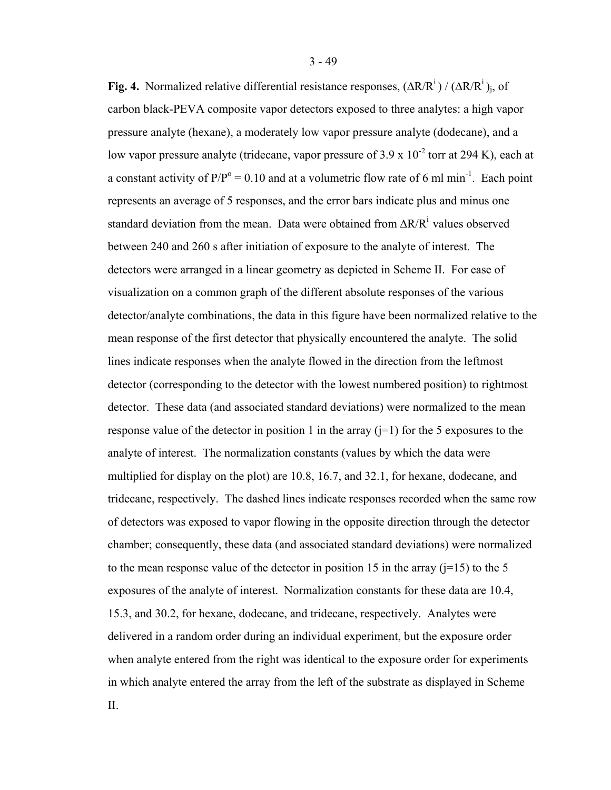**Fig. 4.** Normalized relative differential resistance responses,  $(\Delta R/R^i)/(\Delta R/R^i)$ , of carbon black-PEVA composite vapor detectors exposed to three analytes: a high vapor pressure analyte (hexane), a moderately low vapor pressure analyte (dodecane), and a low vapor pressure analyte (tridecane, vapor pressure of  $3.9 \times 10^{-2}$  torr at 294 K), each at a constant activity of  $P/P^{\circ} = 0.10$  and at a volumetric flow rate of 6 ml min<sup>-1</sup>. Each point represents an average of 5 responses, and the error bars indicate plus and minus one standard deviation from the mean. Data were obtained from  $\Delta R/R^i$  values observed between 240 and 260 s after initiation of exposure to the analyte of interest. The detectors were arranged in a linear geometry as depicted in Scheme II. For ease of visualization on a common graph of the different absolute responses of the various detector/analyte combinations, the data in this figure have been normalized relative to the mean response of the first detector that physically encountered the analyte. The solid lines indicate responses when the analyte flowed in the direction from the leftmost detector (corresponding to the detector with the lowest numbered position) to rightmost detector. These data (and associated standard deviations) were normalized to the mean response value of the detector in position 1 in the array  $(i=1)$  for the 5 exposures to the analyte of interest. The normalization constants (values by which the data were multiplied for display on the plot) are 10.8, 16.7, and 32.1, for hexane, dodecane, and tridecane, respectively. The dashed lines indicate responses recorded when the same row of detectors was exposed to vapor flowing in the opposite direction through the detector chamber; consequently, these data (and associated standard deviations) were normalized to the mean response value of the detector in position 15 in the array  $(i=15)$  to the 5 exposures of the analyte of interest. Normalization constants for these data are 10.4, 15.3, and 30.2, for hexane, dodecane, and tridecane, respectively. Analytes were delivered in a random order during an individual experiment, but the exposure order when analyte entered from the right was identical to the exposure order for experiments in which analyte entered the array from the left of the substrate as displayed in Scheme II.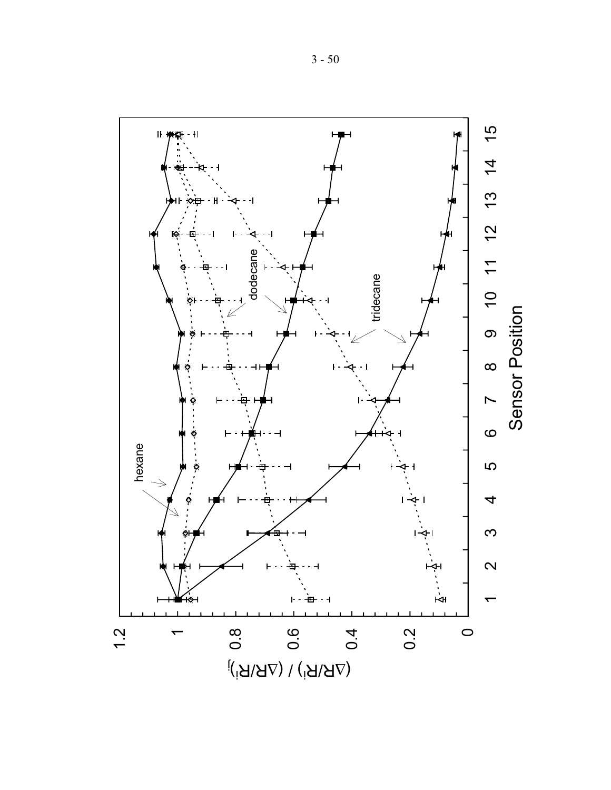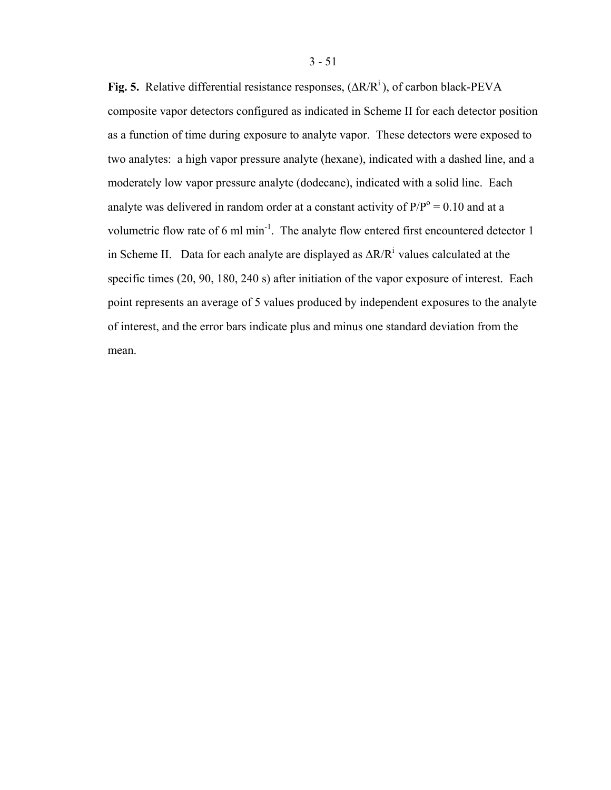**Fig. 5.** Relative differential resistance responses, (∆R/Ri ), of carbon black-PEVA composite vapor detectors configured as indicated in Scheme II for each detector position as a function of time during exposure to analyte vapor. These detectors were exposed to two analytes: a high vapor pressure analyte (hexane), indicated with a dashed line, and a moderately low vapor pressure analyte (dodecane), indicated with a solid line. Each analyte was delivered in random order at a constant activity of  $P/P^{\circ} = 0.10$  and at a volumetric flow rate of 6 ml min<sup>-1</sup>. The analyte flow entered first encountered detector 1 in Scheme II. Data for each analyte are displayed as  $\Delta R/R^i$  values calculated at the specific times (20, 90, 180, 240 s) after initiation of the vapor exposure of interest. Each point represents an average of 5 values produced by independent exposures to the analyte of interest, and the error bars indicate plus and minus one standard deviation from the mean.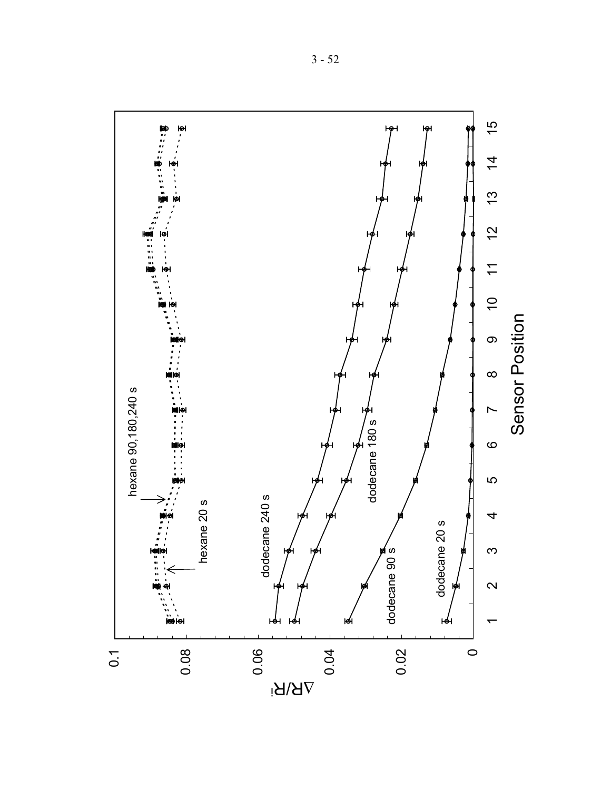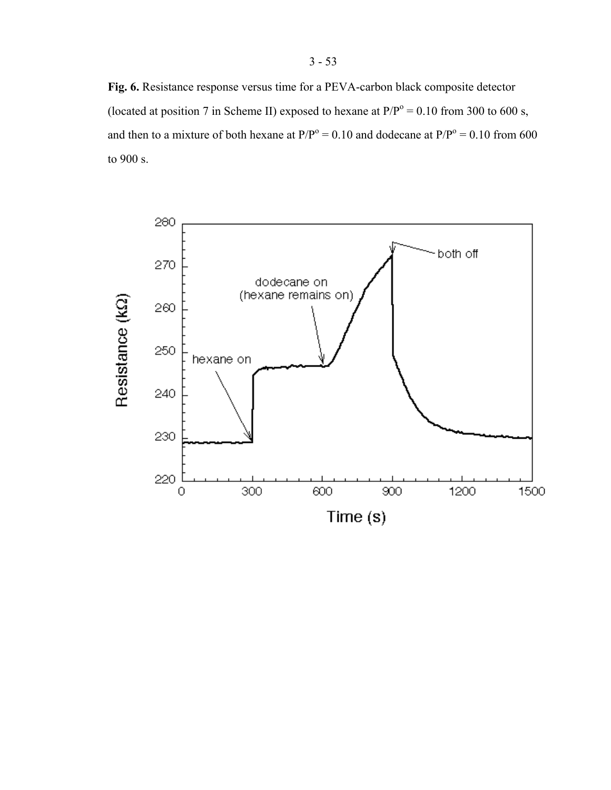**Fig. 6.** Resistance response versus time for a PEVA-carbon black composite detector (located at position 7 in Scheme II) exposed to hexane at  $P/P^{\circ} = 0.10$  from 300 to 600 s, and then to a mixture of both hexane at  $P/P^{\circ} = 0.10$  and dodecane at  $P/P^{\circ} = 0.10$  from 600 to 900 s.

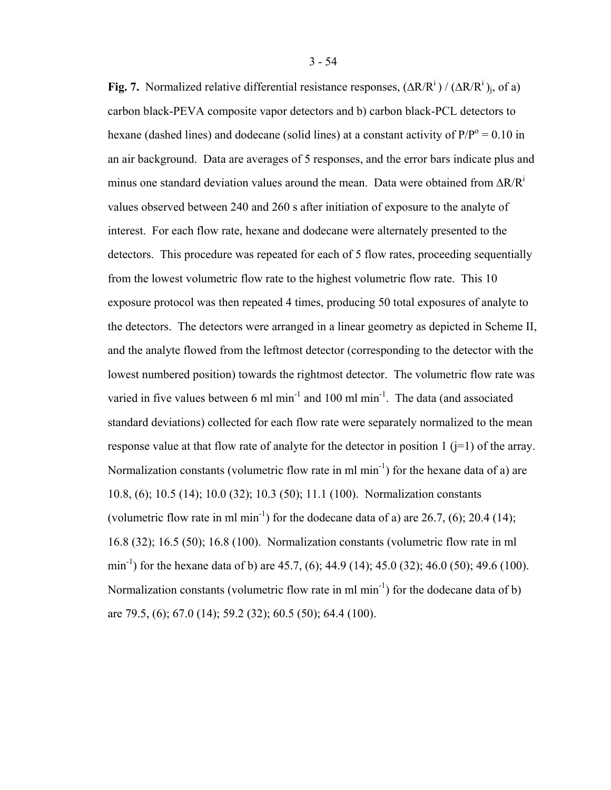**Fig. 7.** Normalized relative differential resistance responses,  $(\Delta R/R^i)/(\Delta R/R^i)$ , of a) carbon black-PEVA composite vapor detectors and b) carbon black-PCL detectors to hexane (dashed lines) and dodecane (solid lines) at a constant activity of  $P/P^{\circ} = 0.10$  in an air background. Data are averages of 5 responses, and the error bars indicate plus and minus one standard deviation values around the mean. Data were obtained from  $\Delta R/R^i$ values observed between 240 and 260 s after initiation of exposure to the analyte of interest. For each flow rate, hexane and dodecane were alternately presented to the detectors. This procedure was repeated for each of 5 flow rates, proceeding sequentially from the lowest volumetric flow rate to the highest volumetric flow rate. This 10 exposure protocol was then repeated 4 times, producing 50 total exposures of analyte to the detectors. The detectors were arranged in a linear geometry as depicted in Scheme II, and the analyte flowed from the leftmost detector (corresponding to the detector with the lowest numbered position) towards the rightmost detector. The volumetric flow rate was varied in five values between 6 ml min<sup>-1</sup> and 100 ml min<sup>-1</sup>. The data (and associated standard deviations) collected for each flow rate were separately normalized to the mean response value at that flow rate of analyte for the detector in position 1 ( $j=1$ ) of the array. Normalization constants (volumetric flow rate in ml min<sup>-1</sup>) for the hexane data of a) are 10.8, (6); 10.5 (14); 10.0 (32); 10.3 (50); 11.1 (100). Normalization constants (volumetric flow rate in ml min<sup>-1</sup>) for the dodecane data of a) are  $26.7$ , (6); 20.4 (14); 16.8 (32); 16.5 (50); 16.8 (100). Normalization constants (volumetric flow rate in ml min<sup>-1</sup>) for the hexane data of b) are 45.7, (6); 44.9 (14); 45.0 (32); 46.0 (50); 49.6 (100). Normalization constants (volumetric flow rate in ml min<sup>-1</sup>) for the dodecane data of b) are 79.5, (6); 67.0 (14); 59.2 (32); 60.5 (50); 64.4 (100).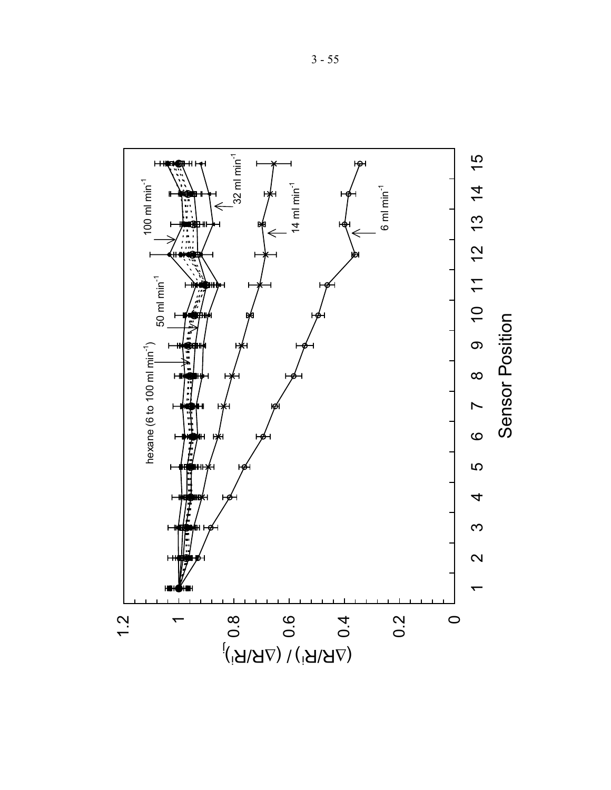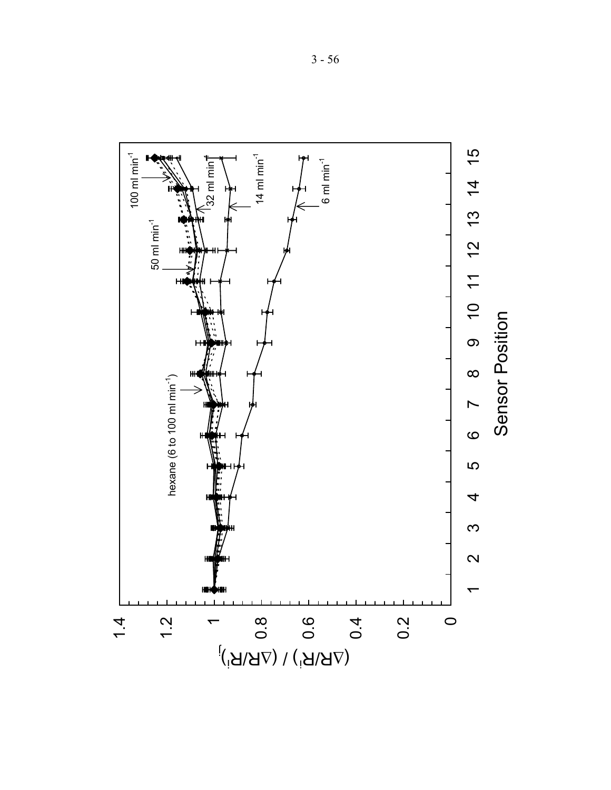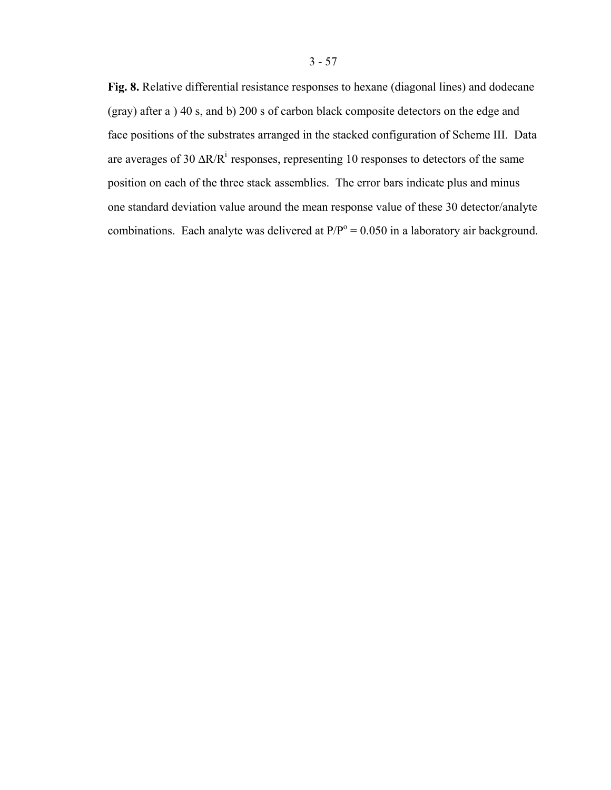**Fig. 8.** Relative differential resistance responses to hexane (diagonal lines) and dodecane (gray) after a ) 40 s, and b) 200 s of carbon black composite detectors on the edge and face positions of the substrates arranged in the stacked configuration of Scheme III. Data are averages of 30  $\Delta R/R^i$  responses, representing 10 responses to detectors of the same position on each of the three stack assemblies. The error bars indicate plus and minus one standard deviation value around the mean response value of these 30 detector/analyte combinations. Each analyte was delivered at  $P/P^{\circ} = 0.050$  in a laboratory air background.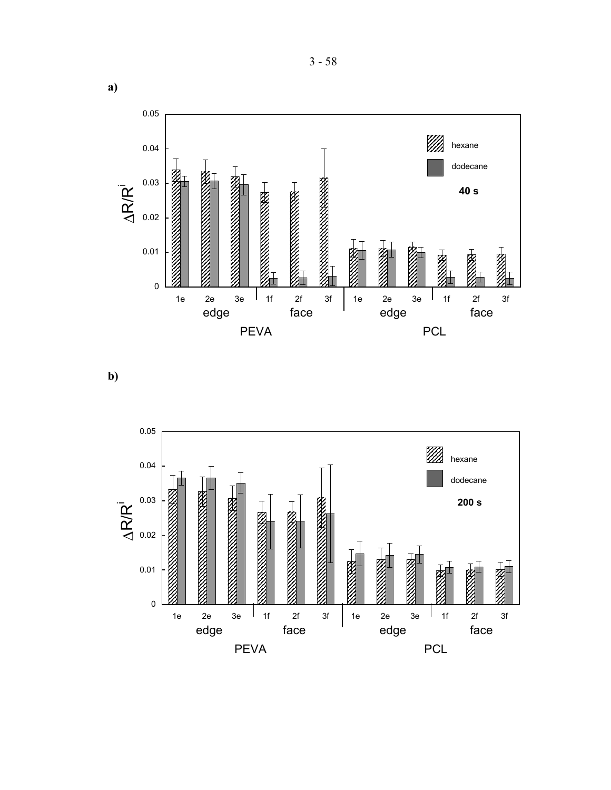

**b)**

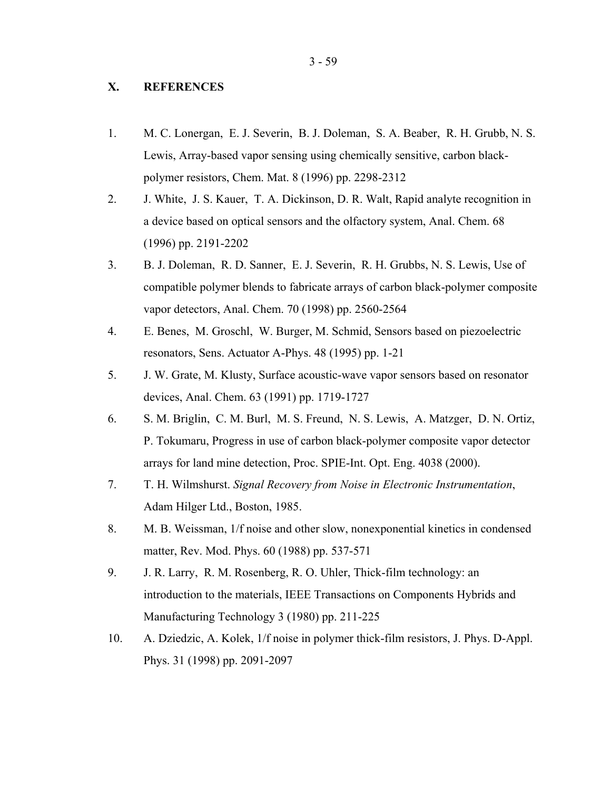# **X. REFERENCES**

- 1. M. C. Lonergan, E. J. Severin, B. J. Doleman, S. A. Beaber, R. H. Grubb, N. S. Lewis, Array-based vapor sensing using chemically sensitive, carbon blackpolymer resistors, Chem. Mat. 8 (1996) pp. 2298-2312
- 2. J. White, J. S. Kauer, T. A. Dickinson, D. R. Walt, Rapid analyte recognition in a device based on optical sensors and the olfactory system, Anal. Chem. 68 (1996) pp. 2191-2202
- 3. B. J. Doleman, R. D. Sanner, E. J. Severin, R. H. Grubbs, N. S. Lewis, Use of compatible polymer blends to fabricate arrays of carbon black-polymer composite vapor detectors, Anal. Chem. 70 (1998) pp. 2560-2564
- 4. E. Benes, M. Groschl, W. Burger, M. Schmid, Sensors based on piezoelectric resonators, Sens. Actuator A-Phys. 48 (1995) pp. 1-21
- 5. J. W. Grate, M. Klusty, Surface acoustic-wave vapor sensors based on resonator devices, Anal. Chem. 63 (1991) pp. 1719-1727
- 6. S. M. Briglin, C. M. Burl, M. S. Freund, N. S. Lewis, A. Matzger, D. N. Ortiz, P. Tokumaru, Progress in use of carbon black-polymer composite vapor detector arrays for land mine detection, Proc. SPIE-Int. Opt. Eng. 4038 (2000).
- 7. T. H. Wilmshurst. *Signal Recovery from Noise in Electronic Instrumentation*, Adam Hilger Ltd., Boston, 1985.
- 8. M. B. Weissman, 1/f noise and other slow, nonexponential kinetics in condensed matter, Rev. Mod. Phys. 60 (1988) pp. 537-571
- 9. J. R. Larry, R. M. Rosenberg, R. O. Uhler, Thick-film technology: an introduction to the materials, IEEE Transactions on Components Hybrids and Manufacturing Technology 3 (1980) pp. 211-225
- 10. A. Dziedzic, A. Kolek, 1/f noise in polymer thick-film resistors, J. Phys. D-Appl. Phys. 31 (1998) pp. 2091-2097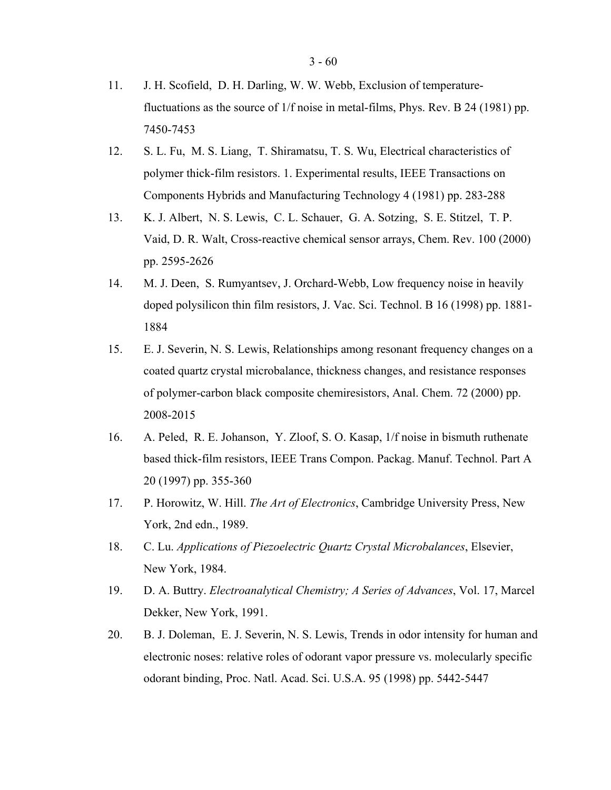- 11. J. H. Scofield, D. H. Darling, W. W. Webb, Exclusion of temperaturefluctuations as the source of 1/f noise in metal-films, Phys. Rev. B 24 (1981) pp. 7450-7453
- 12. S. L. Fu, M. S. Liang, T. Shiramatsu, T. S. Wu, Electrical characteristics of polymer thick-film resistors. 1. Experimental results, IEEE Transactions on Components Hybrids and Manufacturing Technology 4 (1981) pp. 283-288
- 13. K. J. Albert, N. S. Lewis, C. L. Schauer, G. A. Sotzing, S. E. Stitzel, T. P. Vaid, D. R. Walt, Cross-reactive chemical sensor arrays, Chem. Rev. 100 (2000) pp. 2595-2626
- 14. M. J. Deen, S. Rumyantsev, J. Orchard-Webb, Low frequency noise in heavily doped polysilicon thin film resistors, J. Vac. Sci. Technol. B 16 (1998) pp. 1881- 1884
- 15. E. J. Severin, N. S. Lewis, Relationships among resonant frequency changes on a coated quartz crystal microbalance, thickness changes, and resistance responses of polymer-carbon black composite chemiresistors, Anal. Chem. 72 (2000) pp. 2008-2015
- 16. A. Peled, R. E. Johanson, Y. Zloof, S. O. Kasap, 1/f noise in bismuth ruthenate based thick-film resistors, IEEE Trans Compon. Packag. Manuf. Technol. Part A 20 (1997) pp. 355-360
- 17. P. Horowitz, W. Hill. *The Art of Electronics*, Cambridge University Press, New York, 2nd edn., 1989.
- 18. C. Lu. *Applications of Piezoelectric Quartz Crystal Microbalances*, Elsevier, New York, 1984.
- 19. D. A. Buttry. *Electroanalytical Chemistry; A Series of Advances*, Vol. 17, Marcel Dekker, New York, 1991.
- 20. B. J. Doleman, E. J. Severin, N. S. Lewis, Trends in odor intensity for human and electronic noses: relative roles of odorant vapor pressure vs. molecularly specific odorant binding, Proc. Natl. Acad. Sci. U.S.A. 95 (1998) pp. 5442-5447